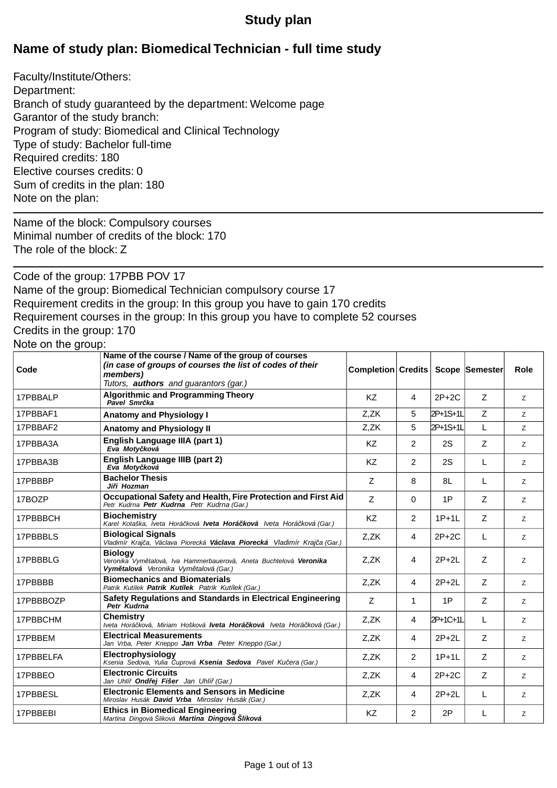## **Study plan**

# **Name of study plan: Biomedical Technician - full time study**

Faculty/Institute/Others: Department: Branch of study guaranteed by the department: Welcome page Garantor of the study branch: Program of study: Biomedical and Clinical Technology Type of study: Bachelor full-time Required credits: 180 Elective courses credits: 0 Sum of credits in the plan: 180 Note on the plan:

Name of the block: Compulsory courses Minimal number of credits of the block: 170 The role of the block: Z

Code of the group: 17PBB POV 17 Name of the group: Biomedical Technician compulsory course 17 Requirement credits in the group: In this group you have to gain 170 credits Requirement courses in the group: In this group you have to complete 52 courses Credits in the group: 170 Note on the group:

**Completion Credits Scope Semester Role Name of the course / Name of the group of courses** *(in case of groups of courses the list of codes of their members) Tutors, authors and guarantors (gar.)* **Code** Algorithmic and Programming Theory<br>Price and Programming Theory<br>**Driver** 2021 **Z**  $\begin{array}{|c|c|c|c|c|}\n\hline\n\text{RZ} & 4 & 2\text{P}+2\text{C} & \text{Z} & \text{Z} \\
\hline\n\end{array}$ **Pavel Smr Report Following Smr Report Pavel Smr ka** 17PBBAF1 **Anatomy and Physiology I C**,ZK 3 2P+1S+1L Z Z 17PBBAF2 **Anatomy and Physiology II C** 27 2R 3 2P+1S+1L L 2 **English Language IIIA (part 1)**<br>Fig. Matu kavá *Eva Moty ková* 17PBBA3A **English Language IIIB (part 2)**<br>
Fig. Matu Isvis *Eva Moty ková* 17PBBA3B **Bac** Z 8 8L L <sup>Z</sup> **Bachelor Thesis** *Ji í Hozman* 17PBBBP **Occupational Safety and Health, Fire Protection and First Aid** |  $Z = | 0 | 1P | Z | Z$ *Petr Kudrna Petr Kudrna Petr Kudrna (Gar.)* 17BOZP 17PBBBCH **Biochemistry**<br>*Karel Kotaška, Iveta Horá ková Iveta Horá ková lveta Horá ková <i>Iveta Horá ková (Gar.)* | KZ | 2 | 1P+1L | Z | 2 **Biochemistry** 17PBBBLS **Biological Signals**<br>Vladimír Kraj a, Václava Piorecká **Václava Piorecká** Vladimír Kraj a (Gar.) **1888 1899 1898 1899 1899 1899 1899** 1  $Z,ZK$  4 2P+2L  $Z$   $Z$ **Biology** *Veronika Vym talová, Iva Hammerbauerová, Aneta Buchtelová Veronika Vym talová Veronika Vym talová (Gar.)* 17PBBBLG **Biomechanics and Biomaterials**<br>Retain Ketter Retails Ketter Cortile Ketter Ketter (2001)<br>Retails Ketter Retails Retails (Setter Ketter Ketter Ketter) *Patrik Kutílek Patrik Kutílek Patrik Kutílek (Gar.)* 17PBBBB Safety Regulations and Standards in Electrical Engineering | z | 1 | 1P | z | z *Petr Kudrna* 17PBBBOZP 17PBBCHM **Chemistry Zalemistry zalemicková, Miriam Hošková <b>Iveta Horá** ková Iveta Horá ková (Gar.) **17** Z,ZK **14** 2P+1C+1L L 2 **Chemistry** 17PBBEM **Electrical Measurements** *Jan Vrba, Peter Kneppo (Gar.)* 2,ZK 4 2P+2L Z 2 **Electrophysiology**<br>Karia Salam Vilia Insuri Karria Salam Paul Kuerr (2001) and Z,ZK | 2 | 1P+1L | Z | z *Ksenia Sedova, Yulia uprová Ksenia Sedova Pavel Ku era (Gar.)* 17PBBELFA **Electr** Z,ZK 4 2P+2C Z <sup>Z</sup> *Jan Uhlí Ond ej Fišer Jan Uhlí (Gar.)* 17PBBEO **Electronic Circuits Electronic Elements and Sensors in Medicine**<br>Mireday Unakle Ravid Valor Mireday Hugh Castles and Castles and Z,ZK development and ZP+2L development and Z *Miroslav Husák David Vrba Miroslav Husák (Gar.)* 17PBBESL **Ethics in Biomedical Engineering** KZ 2 2P L <sup>Z</sup> *Martina Dingová Šliková Martina Dingová Šliková* 17PBBEBI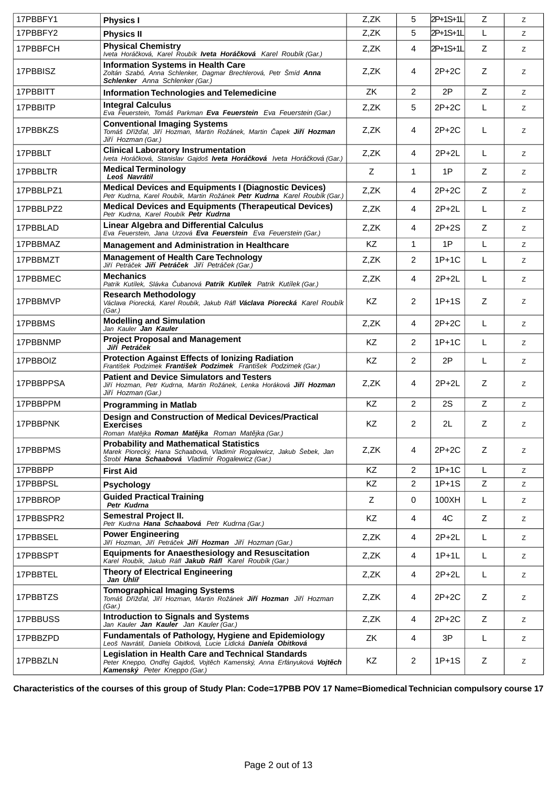| 17PBBFY1  | <b>Physics I</b>                                                                                                                                                            | Z,ZK | 5              | 2P+1S+1L | Z | Z  |
|-----------|-----------------------------------------------------------------------------------------------------------------------------------------------------------------------------|------|----------------|----------|---|----|
| 17PBBFY2  | <b>Physics II</b>                                                                                                                                                           | Z,ZK | 5              | 2P+1S+1L | L | Z  |
| 17PBBFCH  | <b>Physical Chemistry</b><br>Iveta Horá ková, Karel Roubík Iveta Horá ková Karel Roubík (Gar.)                                                                              | Z,ZK | 4              | 2P+1S+1L | Z | Z  |
| 17PBBISZ  | <b>Information Systems in Health Care</b><br>Zoltán Szabó, Anna Schlenker, Dagmar Brechlerová, Petr Šmíd Anna<br>Schlenker Anna Schlenker (Gar.)                            | Z,ZK | 4              | $2P+2C$  | Z | z  |
| 17PBBITT  | <b>Information Technologies and Telemedicine</b>                                                                                                                            | ZK   | 2              | 2P       | Z | Z  |
| 17PBBITP  | <b>Integral Calculus</b><br>Eva Feuerstein, Tomáš Parkman Eva Feuerstein Eva Feuerstein (Gar.)                                                                              | Z,ZK | 5              | 2P+2C    | L | Z  |
| 17PBBKZS  | <b>Conventional Imaging Systems</b><br>Tomáš Díž al, Ji í Hozman, Martin Rožánek, Martin apek Ji í Hozman<br>Ji í Hozman (Gar.)                                             | Z,ZK | 4              | $2P+2C$  | L | Z  |
| 17PBBLT   | <b>Clinical Laboratory Instrumentation</b><br>Iveta Horá ková, Stanislav Gajdoš Iveta Horá ková Iveta Horá ková (Gar.)                                                      | Z,ZK | 4              | $2P+2L$  | L | Z  |
| 17PBBLTR  | <b>Medical Terminology</b><br>Leoš Navrátil                                                                                                                                 | Z    | 1              | 1P       | Z | Z  |
| 17PBBLPZ1 | <b>Medical Devices and Equipments I (Diagnostic Devices)</b><br>Petr Kudrna, Karel Roubík, Martin Rožánek Petr Kudrna Karel Roubík (Gar.)                                   | Z,ZK | 4              | $2P+2C$  | Z | Z  |
| 17PBBLPZ2 | <b>Medical Devices and Equipments (Therapeutical Devices)</b><br>Petr Kudrna. Karel Roubík Petr Kudrna                                                                      | Z,ZK | 4              | $2P+2L$  | L | Z  |
| 17PBBLAD  | <b>Linear Algebra and Differential Calculus</b><br>Eva Feuerstein, Jana Urzová Eva Feuerstein Eva Feuerstein (Gar.)                                                         | Z,ZK | 4              | $2P+2S$  | Z | Z  |
| 17PBBMAZ  | Management and Administration in Healthcare                                                                                                                                 | KZ   | 1              | 1P       | L | Z  |
| 17PBBMZT  | <b>Management of Health Care Technology</b><br>Ji í Petrá ek <b>Ji í Petrá ek</b> Ji í Petrá ek (Gar.)                                                                      | Z,ZK | 2              | $1P+1C$  | L | Z  |
| 17PBBMEC  | <b>Mechanics</b><br>Patrik Kutílek, Slávka ubanová <b>Patrik Kutílek</b> Patrik Kutílek (Gar.)                                                                              | Z,ZK | 4              | $2P+2L$  | L | Z  |
| 17PBBMVP  | <b>Research Methodology</b><br>Václava Piorecká, Karel Roubík, Jakub Ráfl Václava Piorecká Karel Roubík<br>(Gar.)                                                           | KZ   | 2              | $1P+1S$  | Z | Z  |
| 17PBBMS   | <b>Modelling and Simulation</b><br>Jan Kauler Jan Kauler                                                                                                                    | Z,ZK | 4              | 2P+2C    | L | Ζ  |
| 17PBBNMP  | <b>Project Proposal and Management</b><br>Ji í Petrá ek                                                                                                                     | KZ   | $\overline{2}$ | $1P+1C$  | L | z  |
| 17PBBOIZ  | <b>Protection Against Effects of lonizing Radiation</b><br>František Podzimek František Podzimek František Podzimek (Gar.)                                                  | KZ   | 2              | 2P       | L | Z  |
| 17PBBPPSA | <b>Patient and Device Simulators and Testers</b><br>Ji í Hozman, Petr Kudrna, Martin Rožánek, Lenka Horáková <b>Ji í Hozman</b><br>Ji í Hozman (Gar.)                       | Z,ZK | 4              | $2P+2L$  | Z | Ζ  |
| 17PBBPPM  | <b>Programming in Matlab</b>                                                                                                                                                | KZ   | 2              | 2S       | Z | Z  |
| 17PBBPNK  | <b>Design and Construction of Medical Devices/Practical</b><br><b>Exercises</b><br>Roman Mat jka <b>Roman Mat jka</b> Roman Mat jka (Gar.)                                  | KZ   | 2              | 2L       | Z | Ζ  |
| 17PBBPMS  | <b>Probability and Mathematical Statistics</b><br>Marek Piorecký, Hana Schaabová, Vladimír Rogalewicz, Jakub Šebek, Jan<br>Štrobl Hana Schaabová Vladimír Rogalewicz (Gar.) | Z,ZK | $\overline{4}$ | $2P+2C$  | Z | Z  |
| 17PBBPP   | <b>First Aid</b>                                                                                                                                                            | KZ   | $\overline{2}$ | $1P+1C$  | L | Z. |
| 17PBBPSL  | <b>Psychology</b>                                                                                                                                                           | KZ   | 2              | $1P+1S$  | Z | Ζ  |
| 17PBBROP  | <b>Guided Practical Training</b><br>Petr Kudrna                                                                                                                             | Z    | 0              | 100XH    | L | Ζ  |
| 17PBBSPR2 | <b>Semestral Project II.</b><br>Petr Kudrna Hana Schaabová Petr Kudrna (Gar.)                                                                                               | KZ   | 4              | 4C       | Z | Z  |
| 17PBBSEL  | <b>Power Engineering</b><br>Ji í Hozman, Ji í Petrá ek Ji í Hozman Ji í Hozman (Gar.)                                                                                       | Z,ZK | 4              | $2P+2L$  | L | Z  |
| 17PBBSPT  | <b>Equipments for Anaesthesiology and Resuscitation</b><br>Karel Roubík, Jakub Ráfl Jakub Ráfl Karel Roubík (Gar.)                                                          | Z,ZK | 4              | $1P+1L$  | L | Z  |
| 17PBBTEL  | <b>Theory of Electrical Engineering</b><br>Jan Uhlí                                                                                                                         | Z,ZK | 4              | $2P+2L$  | L | Z  |
| 17PBBTZS  | <b>Tomographical Imaging Systems</b><br>Tomáš Díž al, Ji í Hozman, Martin Rožánek Ji í Hozman Ji í Hozman<br>(Gar.)                                                         | Z,ZK | 4              | $2P+2C$  | Z | Ζ  |
| 17PBBUSS  | <b>Introduction to Signals and Systems</b><br>Jan Kauler <b>Jan Kauler</b> Jan Kauler (Gar.)                                                                                | Z,ZK | 4              | $2P+2C$  | Z | Z  |
| 17PBBZPD  | <b>Fundamentals of Pathology, Hygiene and Epidemiology</b><br>Leoš Navrátil, Daniela Obitková, Lucie Lidická Daniela Obitková                                               | ZK   | 4              | 3P       | L | Ζ  |
| 17PBBZLN  | <b>Legislation in Health Care and Technical Standards</b><br>Peter Kneppo, Ond ej Gajdoš, Vojt ch Kamenský, Anna Erfányuková Vojt ch<br>Kamenský Peter Kneppo (Gar.)        | KZ   | $\overline{2}$ | $1P+1S$  | Z | Ζ  |

**Characteristics of the courses of this group of Study Plan: Code=17PBB POV 17 Name=Biomedical Technician compulsory course 17**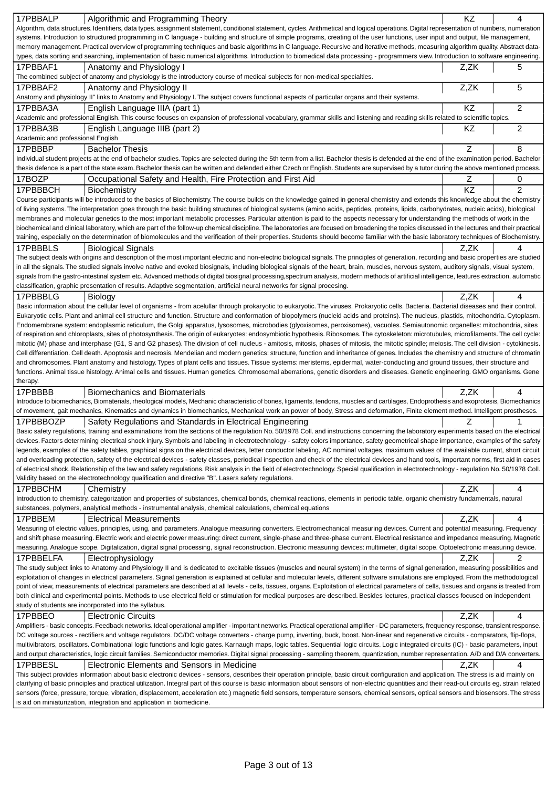| 17PBBALP<br>Algorithmic and Programming Theory                                                                                                                                                                                                                    | KZ   | 4              |
|-------------------------------------------------------------------------------------------------------------------------------------------------------------------------------------------------------------------------------------------------------------------|------|----------------|
| Algorithm, data structures. Identifiers, data types. assignment statement, conditional statement, cycles. Arithmetical and logical operations. Digital representation of numbers, numeration                                                                      |      |                |
| systems. Introduction to structured programming in C language - building and structure of simple programs, creating of the user functions, user input and output, file management,                                                                                |      |                |
| memory management. Practical overview of programming techniques and basic algorithms in C language. Recursive and iterative methods, measuring algorithm quality. Abstract data-                                                                                  |      |                |
| types, data sorting and searching, implementation of basic numerical algorithms. Introduction to biomedical data processing - programmers view. Introduction to software engineering.                                                                             |      |                |
| 17PBBAF1<br>Anatomy and Physiology I<br>The combined subject of anatomy and physiology is the introductory course of medical subjects for non-medical specialties.                                                                                                | Z,ZK | 5              |
|                                                                                                                                                                                                                                                                   |      |                |
| 17PBBAF2<br>Anatomy and Physiology II                                                                                                                                                                                                                             | Z,ZK | 5              |
| Anatomy and physiology II" links to Anatomy and Physiology I. The subject covers functional aspects of particular organs and their systems.                                                                                                                       | KZ   | $\overline{2}$ |
| 17PBBA3A<br>English Language IIIA (part 1)<br>Academic and professional English. This course focuses on expansion of professional vocabulary, grammar skills and listening and reading skills related to scientific topics.                                       |      |                |
| 17PBBA3B<br>English Language IIIB (part 2)                                                                                                                                                                                                                        | KZ   | $\overline{c}$ |
| Academic and professional English                                                                                                                                                                                                                                 |      |                |
| 17PBBBP                                                                                                                                                                                                                                                           | Z    | 8              |
| <b>Bachelor Thesis</b><br>Individual student projects at the end of bachelor studies. Topics are selected during the 5th term from a list. Bachelor thesis is defended at the end of the examination period. Bachelor                                             |      |                |
| thesis defence is a part of the state exam. Bachelor thesis can be written and defended either Czech or English. Students are supervised by a tutor during the above mentioned process.                                                                           |      |                |
| 17BOZP<br>Occupational Safety and Health, Fire Protection and First Aid                                                                                                                                                                                           | Ζ    | 0              |
| 17PBBBCH                                                                                                                                                                                                                                                          | KZ   | $\overline{2}$ |
| Biochemistry<br>Course participants will be introduced to the basics of Biochemistry. The course builds on the knowledge gained in general chemistry and extends this knowledge about the chemistry                                                               |      |                |
| of living systems. The interpretation goes through the basic building structures of biological systems (amino acids, peptides, proteins, lipids, carbohydrates, nucleic acids), biological                                                                        |      |                |
| membranes and molecular genetics to the most important metabolic processes. Particular attention is paid to the aspects necessary for understanding the methods of work in the                                                                                    |      |                |
| biochemical and clinical laboratory, which are part of the follow-up chemical discipline. The laboratories are focused on broadening the topics discussed in the lectures and their practical                                                                     |      |                |
| training, especially on the determination of biomolecules and the verification of their properties. Students should become familiar with the basic laboratory techniques of Biochemistry.                                                                         |      |                |
| 17PBBBLS<br><b>Biological Signals</b>                                                                                                                                                                                                                             | Z.ZK | 4              |
| The subject deals with origins and description of the most important electric and non-electric biological signals. The principles of generation, recording and basic properties are studied                                                                       |      |                |
| in all the signals. The studied signals involve native and evoked biosignals, including biological signals of the heart, brain, muscles, nervous system, auditory signals, visual system,                                                                         |      |                |
| signals from the gastro-intestinal system etc. Advanced methods of digital biosignal processing,spectrum analysis, modern methods of artificial intelligence, features extraction, automatic                                                                      |      |                |
| classification, graphic presentation of results. Adaptive segmentation, artificial neural networks for signal procesing                                                                                                                                           |      |                |
| 17PBBBLG<br>Biology                                                                                                                                                                                                                                               | Z,ZK | 4              |
| Basic information about the cellular level of organisms - from acelullar through prokaryotic to eukaryotic. The viruses. Prokaryotic cells. Bacteria. Bacterial diseases and their control.                                                                       |      |                |
| Eukaryotic cells. Plant and animal cell structure and function. Structure and conformation of biopolymers (nucleid acids and proteins). The nucleus, plastids, mitochondria. Cytoplasm.                                                                           |      |                |
| Endomembrane system: endoplasmic reticulum, the Golgi apparatus, lysosomes, microbodies (glyoxisomes, peroxisomes), vacuoles. Semiautonomic organelles: mitochondria, sites                                                                                       |      |                |
| of respiration and chloroplasts, sites of photosynthesis. The origin of eukaryotes: endosymbiotic hypothesis. Ribosomes. The cytoskeleton: microtubules, microfilaments. The cell cycle:                                                                          |      |                |
| mitotic (M) phase and interphase (G1, S and G2 phases). The division of cell nucleus - amitosis, mitosis, phases of mitosis, the mitotic spindle; meiosis. The cell division - cytokinesis.                                                                       |      |                |
| Cell differentiation. Cell death. Apoptosis and necrosis. Mendelian and modern genetics: structure, function and inheritance of genes. Includes the chemistry and structure of chromatin                                                                          |      |                |
| and chromosomes. Plant anatomy and histology. Types of plant cells and tissues. Tissue systems: meristems, epidermal, water-conducting and ground tissues, their structure and                                                                                    |      |                |
| functions. Animal tissue histology. Animal cells and tissues. Human genetics. Chromosomal aberrations, genetic disorders and diseases. Genetic engineering. GMO organisms. Gene                                                                                   |      |                |
| therapy.<br>17PBBBB<br><b>Biomechanics and Biomaterials</b>                                                                                                                                                                                                       | Z.ZK | 4              |
| Introduce to biomechanics, Biomaterials, rheological models, Mechanic characteristic of bones, ligaments, tendons, muscles and cartilages, Endoprothesis and exoprotesis, Biomechanics                                                                            |      |                |
| of movement, gait mechanics, Kinematics and dynamics in biomechanics, Mechanical work an power of body, Stress and deformation, Finite element method. Intelligent prostheses.                                                                                    |      |                |
| 17PBBBOZP<br>Safety Regulations and Standards in Electrical Engineering                                                                                                                                                                                           | Z    |                |
| Basic safety regulations, training and examinations from the sections of the regulation No. 50/1978 Coll. and instructions concerning the laboratory experiments based on the electrical                                                                          |      |                |
| devices. Factors determining electrical shock injury. Symbols and labeling in electrotechnology - safety colors importance, safety geometrical shape importance, examples of the safety                                                                           |      |                |
| legends, examples of the safety tables, graphical signs on the electrical devices, letter conductor labeling, AC nominal voltages, maximum values of the available current, short circuit                                                                         |      |                |
| and overloading protection, safety of the electrical devices - safety classes, periodical inspection and check of the electrical devices and hand tools, important norms, first aid in cases                                                                      |      |                |
| of electrical shock. Relationship of the law and safety regulations. Risk analysis in the field of electrotechnology. Special qualification in electrotechnology - regulation No. 50/1978 Coll.                                                                   |      |                |
| Validity based on the electrotechnology qualification and directive "B". Lasers safety regulations.                                                                                                                                                               |      |                |
| 17PBBCHM<br>Chemistry                                                                                                                                                                                                                                             | Z,ZK | 4              |
| Introduction to chemistry, categorization and properties of substances, chemical bonds, chemical reactions, elements in periodic table, organic chemistry fundamentals, natural                                                                                   |      |                |
| substances, polymers, analytical methods - instrumental analysis, chemical calculations, chemical equations                                                                                                                                                       |      |                |
| 17PBBEM<br><b>Electrical Measurements</b>                                                                                                                                                                                                                         | Z,ZK | 4              |
| Measuring of electric values, principles, using, and parameters. Analogue measuring converters. Electromechanical measuring devices. Current and potential measuring. Frequency                                                                                   |      |                |
| and shift phase measuring. Electric work and electric power measuring: direct current, single-phase and three-phase current. Electrical resistance and impedance measuring. Magnetic                                                                              |      |                |
| measuring. Analogue scope. Digitalization, digital signal processing, signal reconstruction. Electronic measuring devices: multimeter, digital scope. Optoelectronic measuring device.                                                                            |      |                |
| 17PBBELFA<br>Electrophysiology                                                                                                                                                                                                                                    | Z,ZK | 2              |
| The study subject links to Anatomy and Physiology II and is dedicated to excitable tissues (muscles and neural system) in the terms of signal generation, measuring possibilities and                                                                             |      |                |
| exploitation of changes in electrical parameters. Signal generation is explained at cellular and molecular levels, different software simulations are employed. From the methodological                                                                           |      |                |
| point of view, measurements of electrical parameters are described at all levels - cells, tissues, organs. Exploitation of electrical parameters of cells, tissues and organs is treated from                                                                     |      |                |
| both clinical and experimental points. Methods to use electrical field or stimulation for medical purposes are described. Besides lectures, practical classes focused on independent                                                                              |      |                |
| study of students are incorporated into the syllabus.                                                                                                                                                                                                             |      |                |
| 17PBBEO<br><b>Electronic Circuits</b>                                                                                                                                                                                                                             | Z,ZK | 4              |
| Amplifiers - basic concepts. Feedback networks. Ideal operational amplifier - important networks. Practical operational amplifier - DC parameters, frequency response, transient response.                                                                        |      |                |
| DC voltage sources - rectifiers and voltage regulators. DC/DC voltage converters - charge pump, inverting, buck, boost. Non-linear and regenerative circuits - comparators, flip-flops,                                                                           |      |                |
| multivibrators, oscillators. Combinational logic functions and logic gates. Karnaugh maps, logic tables. Sequential logic circuits. Logic integrated circuits (IC) - basic parameters, input                                                                      |      |                |
|                                                                                                                                                                                                                                                                   |      |                |
| and output characteristics, logic circuit families. Semiconductor memories. Digital signal processing - sampling theorem, quantization, number representation. A/D and D/A converters.                                                                            |      |                |
| 17PBBESL<br>Electronic Elements and Sensors in Medicine                                                                                                                                                                                                           | Z,ZK | 4              |
| This subject provides information about basic electronic devices - sensors, describes their operation principle, basic circuit configuration and application. The stress is aid mainly on                                                                         |      |                |
| clarifying of basic principles and practical utilization. Integral part of this course is basic information about sensors of non-electric quantities and their read-out circuits eg. strain related                                                               |      |                |
| sensors (force, pressure, torque, vibration, displacement, acceleration etc.) magnetic field sensors, temperature sensors, chemical sensors, optical sensors and biosensors. The stress<br>is aid on miniaturization, integration and application in biomedicine. |      |                |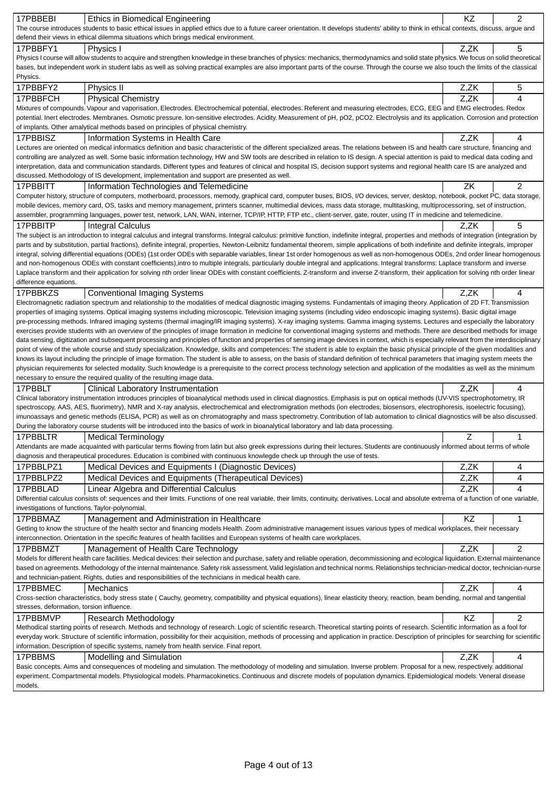| 17PBBEBI                                        | Ethics in Biomedical Engineering                                                                                                                                                                                                                                                                                                                                                | KZ          | $\overline{c}$ |
|-------------------------------------------------|---------------------------------------------------------------------------------------------------------------------------------------------------------------------------------------------------------------------------------------------------------------------------------------------------------------------------------------------------------------------------------|-------------|----------------|
|                                                 | The course introduces students to basic ethical issues in applied ethics due to a future career orientation. It develops students' ability to think in ethical contexts, discuss, argue and                                                                                                                                                                                     |             |                |
|                                                 | defend their views in ethical dilemma situations which brings medical environment.                                                                                                                                                                                                                                                                                              |             |                |
| 17PBBFY1                                        | Physics I                                                                                                                                                                                                                                                                                                                                                                       | Z,ZK        | 5              |
|                                                 | Physics I course will allow students to acquire and strengthen knowledge in these branches of physics: mechanics, thermodynamics and solid state physics. We focus on solid theoretical                                                                                                                                                                                         |             |                |
|                                                 | bases, but independent work in student labs as well as solving practical examples are also important parts of the course. Through the course we also touch the limits of the classical                                                                                                                                                                                          |             |                |
| Physics.                                        |                                                                                                                                                                                                                                                                                                                                                                                 |             |                |
| 17PBBFY2                                        | Physics II                                                                                                                                                                                                                                                                                                                                                                      | Z,ZK        | 5              |
| 17PBBFCH                                        | <b>Physical Chemistry</b>                                                                                                                                                                                                                                                                                                                                                       | Z,ZK        | 4              |
|                                                 | Mixtures of compounds. Vapour and vaporisation. Electrodes. Electrochemical potential, electrodes. Referent and measuring electrodes, ECG, EEG and EMG electrodes. Redox                                                                                                                                                                                                        |             |                |
|                                                 | potential. Inert electrodes. Membranes. Osmotic pressure. Ion-sensitive electrodes. Acidity. Measurement of pH, pO2, pCO2. Electrolysis and its application. Corrosion and protection<br>of implants. Other amalytical methods based on principles of physical chemistry.                                                                                                       |             |                |
| 17PBBISZ                                        | Information Systems in Health Care                                                                                                                                                                                                                                                                                                                                              | Z,ZK        | 4              |
|                                                 | Lectures are oriented on medical informatics definition and basic characteristic of the different specialized areas. The relations between IS and health care structure, financing and                                                                                                                                                                                          |             |                |
|                                                 | controlling are analyzed as well. Some basic information technology, HW and SW tools are described in relation to IS design. A special attention is paid to medical data coding and                                                                                                                                                                                             |             |                |
|                                                 | interpretation, data and communication standards. Different types and features of clinical and hospital IS, decision support systems and regional health care IS are analyzed and                                                                                                                                                                                               |             |                |
|                                                 | discussed. Methodology of IS development, implementation and support are presented as well.                                                                                                                                                                                                                                                                                     |             |                |
| 17PBBITT                                        | Information Technologies and Telemedicine                                                                                                                                                                                                                                                                                                                                       | ZK          | $\overline{2}$ |
|                                                 | Computer history, structure of computers, motherboard, processors, memody, graphical card, computer buses, BIOS, I/O devices, server, desktop, notebook, pocket PC, data storage,                                                                                                                                                                                               |             |                |
|                                                 | mobile devices, memory card, OS, tasks and memory management, printers scanner, multimedial devices, mass data storage, multitasking, multiprocessoring, set of instruction,                                                                                                                                                                                                    |             |                |
|                                                 | assembler, programming languages, power test, network, LAN, WAN, interner, TCP/IP, HTTP, FTP etc., client-server, gate, router, using IT in medicine and telemedicine.                                                                                                                                                                                                          |             |                |
| 17PBBITP                                        | <b>Integral Calculus</b>                                                                                                                                                                                                                                                                                                                                                        | Z,ZK        | 5              |
|                                                 | The subject is an introduction to integral calculus and integral transforms. Integral calculus: primitive function, indefinite integral, properties and methods of integration (integration by                                                                                                                                                                                  |             |                |
|                                                 | parts and by substitution, partial fractions), definite integral, properties, Newton-Leibnitz fundamental theorem, simple applications of both indefinite and definite integrals, improper<br>integral, solving differential equations (ODEs) (1st order ODEs with separable variables, linear 1st order homogenous as well as non-homogenous ODEs, 2nd order linear homogenous |             |                |
|                                                 | and non-homogenous ODEs with constant coefficients),intro to multiple integrals, particularly double integral and applications. Integral transforms: Laplace transform and inverse                                                                                                                                                                                              |             |                |
|                                                 | Laplace transform and their application for solving nth order linear ODEs with constant coefficients. Z-transform and inverse Z-transform, their application for solving nth order linear                                                                                                                                                                                       |             |                |
| difference equations.                           |                                                                                                                                                                                                                                                                                                                                                                                 |             |                |
| 17PBBKZS                                        | <b>Conventional Imaging Systems</b>                                                                                                                                                                                                                                                                                                                                             | Z,ZK        | 4              |
|                                                 | Electromagnetic radiation spectrum and relationship to the modalities of medical diagnostic imaging systems. Fundamentals of imaging theory. Application of 2D FT. Transmission                                                                                                                                                                                                 |             |                |
|                                                 | properties of imaging systems. Optical imaging systems including microscopic. Television imaging systems (including video endoscopic imaging systems). Basic digital image                                                                                                                                                                                                      |             |                |
|                                                 | pre-processing methods. Infrared imaging systems (thermal imaging/IR imaging systems). X-ray imaging systems. Gamma imaging systems. Lectures and especially the laboratory                                                                                                                                                                                                     |             |                |
|                                                 | exercises provide students with an overview of the principles of image formation in medicine for conventional imaging systems and methods. There are described methods for image<br>data sensing, digitization and subsequent processing and principles of function and properties of sensing image devices in context, which is especially relevant from the interdisciplinary |             |                |
|                                                 | point of view of the whole course and study specialization. Knowledge, skills and competences: The student is able to explain the basic physical principle of the given modalities and                                                                                                                                                                                          |             |                |
|                                                 | knows its layout including the principle of image formation. The student is able to assess, on the basis of standard definition of technical parameters that imaging system meets the                                                                                                                                                                                           |             |                |
|                                                 | physician requirements for selected modality. Such knowledge is a prerequisite to the correct process technology selection and application of the modalities as well as the minimum                                                                                                                                                                                             |             |                |
|                                                 | necessary to ensure the required quality of the resulting image data.                                                                                                                                                                                                                                                                                                           |             |                |
| 17PBBLT                                         | Clinical Laboratory Instrumentation                                                                                                                                                                                                                                                                                                                                             | Z.ZK        | 4              |
|                                                 | Clinical laboratory instrumentation introduces principles of bioanalytical methods used in clinical diagnostics. Emphasis is put on optical methods (UV-VIS spectrophotometry, IR                                                                                                                                                                                               |             |                |
|                                                 | spectroscopy, AAS, AES, fluorimetry), NMR and X-ray analysis, electrochemical and electromigration methods (ion electrodes, biosensors, electrophoresis, isoelectric focusing),                                                                                                                                                                                                 |             |                |
|                                                 | imunoassays and genetic methods (ELISA, PCR) as well as on chromatography and mass spectrometry. Contribution of lab automation to clinical diagnostics will be also discussed.                                                                                                                                                                                                 |             |                |
|                                                 | During the laboratory course students will be introduced into the basics of work in bioanalytical laboratory and lab data processing.                                                                                                                                                                                                                                           |             |                |
| 17PBBLTR                                        | <b>Medical Terminology</b><br>Attendants are made acquainted with particular terms flowing from latin but also greek expressions during their lectures. Students are continuously informed about terms of whole                                                                                                                                                                 | $\mathsf Z$ | 1              |
|                                                 | diagnosis and therapeutical procedures. Education is combined with continuous knowlegde check up through the use of tests.                                                                                                                                                                                                                                                      |             |                |
| 17PBBLPZ1                                       | Medical Devices and Equipments I (Diagnostic Devices)                                                                                                                                                                                                                                                                                                                           | Z,ZK        | 4              |
| 17PBBLPZ2                                       | Medical Devices and Equipments (Therapeutical Devices)                                                                                                                                                                                                                                                                                                                          | Z,ZK        | 4              |
| 17PBBLAD                                        |                                                                                                                                                                                                                                                                                                                                                                                 | Z,ZK        | 4              |
|                                                 | Linear Algebra and Differential Calculus<br>Differential calculus consists of: sequences and their limits. Functions of one real variable, their limits, continuity, derivatives. Local and absolute extrema of a function of one variable,                                                                                                                                     |             |                |
| investigations of functions. Taylor-polynomial. |                                                                                                                                                                                                                                                                                                                                                                                 |             |                |
| 17PBBMAZ                                        | Management and Administration in Healthcare                                                                                                                                                                                                                                                                                                                                     | KZ          | 1              |
|                                                 | Getting to know the structure of the health sector and financing models Health. Zoom administrative management issues various types of medical workplaces, their necessary                                                                                                                                                                                                      |             |                |
|                                                 | interconnection. Orientation in the specific features of health facilities and European systems of health care workplaces.                                                                                                                                                                                                                                                      |             |                |
| 17PBBMZT                                        | Management of Health Care Technology                                                                                                                                                                                                                                                                                                                                            | Z,ZK        | 2              |
|                                                 | Models for different health care facilities. Medical devices: their selection and purchase, safety and reliable operation, decommissioning and ecological liquidation. External maintenance                                                                                                                                                                                     |             |                |
|                                                 | based on agreements. Methodology of the internal maintenance. Safety risk assessment. Valid legislation and technical norms. Relationships technician-medical doctor, technician-nurse                                                                                                                                                                                          |             |                |
|                                                 | and technician-patient. Rights, duties and responsibilities of the technicians in medical health care.                                                                                                                                                                                                                                                                          |             |                |
| 17PBBMEC                                        | Mechanics                                                                                                                                                                                                                                                                                                                                                                       | Z,ZK        | 4              |
|                                                 | Cross-section characteristics, body stress state (Cauchy, geometry, compatibility and physical equations), linear elasticity theory, reaction, beam bending, normal and tangential                                                                                                                                                                                              |             |                |
| stresses, deformation, torsion influence.       |                                                                                                                                                                                                                                                                                                                                                                                 |             |                |
| 17PBBMVP                                        | Research Methodology<br>Methodical starting points of research. Methods and technology of research. Logic of scientific research. Theoretical starting points of research. Scientific information as a fool for                                                                                                                                                                 | KZ          | 2              |
|                                                 | everyday work. Structure of scientific information, possibility for their acquisition, methods of processing and application in practice. Description of principles for searching for scientific                                                                                                                                                                                |             |                |
|                                                 | information. Description of specific systems, namely from health service. Final report.                                                                                                                                                                                                                                                                                         |             |                |
| 17PBBMS                                         | <b>Modelling and Simulation</b>                                                                                                                                                                                                                                                                                                                                                 | Z,ZK        | 4              |
|                                                 | Basic concepts. Aims and consequences of modeling and simulation. The methodology of modeling and simulation. Inverse problem. Proposal for a new, respectively. additional                                                                                                                                                                                                     |             |                |
|                                                 | experiment. Compartmental models. Physiological models. Pharmacokinetics. Continuous and discrete models of population dynamics. Epidemiological models. Veneral disease                                                                                                                                                                                                        |             |                |
| models.                                         |                                                                                                                                                                                                                                                                                                                                                                                 |             |                |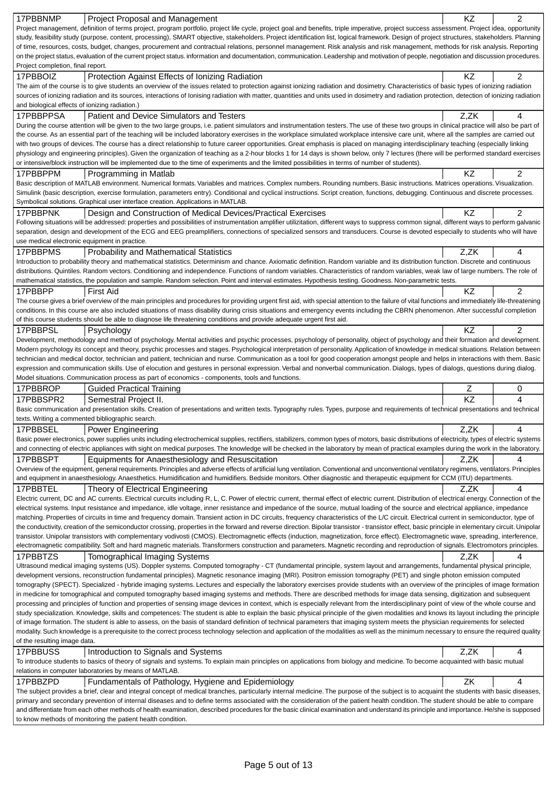| 17PBBNMP                                       | <b>Project Proposal and Management</b>                                                                                                                                                                                                                                                                                                                                               | KZ   | 2              |
|------------------------------------------------|--------------------------------------------------------------------------------------------------------------------------------------------------------------------------------------------------------------------------------------------------------------------------------------------------------------------------------------------------------------------------------------|------|----------------|
|                                                | Project management, definition of terms project, program portfolio, project life cycle, project goal and benefits, triple imperative, project success assessment. Project idea, opportunity                                                                                                                                                                                          |      |                |
|                                                | study, feasibility study (purpose, content, processing), SMART objective, stakeholders. Project identification list, logical framework. Design of project structures, stakeholders. Planning                                                                                                                                                                                         |      |                |
|                                                | of time, resources, costs, budget, changes, procurement and contractual relations, personnel management. Risk analysis and risk management, methods for risk analysis. Reporting<br>on the project status, evaluation of the current project status. information and documentation, communication. Leadership and motivation of people, negotiation and discussion procedures.       |      |                |
| Project completion, final report.              |                                                                                                                                                                                                                                                                                                                                                                                      |      |                |
| 17PBBOIZ                                       | Protection Against Effects of Ionizing Radiation<br>The aim of the course is to give students an overview of the issues related to protection against ionizing radiation and dosimetry. Characteristics of basic types of ionizing radiation                                                                                                                                         | ΚZ   | 2              |
|                                                | sources of ionizing radiation and its sources, interactions of lonising radiation with matter, quantities and units used in dosimetry and radiation protection, detection of ionizing radiation                                                                                                                                                                                      |      |                |
| and biological effects of ionizing radiation.) |                                                                                                                                                                                                                                                                                                                                                                                      |      |                |
| 17PBBPPSA                                      | Patient and Device Simulators and Testers                                                                                                                                                                                                                                                                                                                                            | Z,ZK | 4              |
|                                                | During the course attention will be given to the two large groups, i.e. patient simulators and instrumentation testers. The use of these two groups in clinical practice will also be part of                                                                                                                                                                                        |      |                |
|                                                | the course. As an essential part of the teaching will be included laboratory exercises in the workplace simulated workplace intensive care unit, where all the samples are carried out                                                                                                                                                                                               |      |                |
|                                                | with two groups of devices. The course has a direct relationship to future career opportunities. Great emphasis is placed on managing interdisciplinary teaching (especially linking                                                                                                                                                                                                 |      |                |
|                                                | physiology and engineering principles). Given the organization of teaching as a 2-hour blocks 1 for 14 days is shown below, only 7 lectures (there will be performed standard exercises<br>or intensive/block instruction will be implemented due to the time of experiments and the limited possibilities in terms of number of students).                                          |      |                |
| 17PBBPPM                                       | Programming in Matlab                                                                                                                                                                                                                                                                                                                                                                | KZ   | 2              |
|                                                | Basic description of MATLAB environment. Numerical formats. Variables and matrices. Complex numbers. Rounding numbers. Basic instructions. Matrices operations. Visualization.                                                                                                                                                                                                       |      |                |
|                                                | Simulink (basic description, exercise formulation, parameters entry). Conditional and cyclical instructions. Script creation, functions, debugging. Continuous and discrete processes.                                                                                                                                                                                               |      |                |
|                                                | Symbolical solutions. Graphical user interface creation. Applications in MATLAB.                                                                                                                                                                                                                                                                                                     |      |                |
| 17PBBPNK                                       | Design and Construction of Medical Devices/Practical Exercises                                                                                                                                                                                                                                                                                                                       | ΚZ   | 2              |
|                                                | Following situations will be addressed: properties and possibilities of instrumentation amplifier utilizitation, different ways to suppress common signal, different ways to perform galvanic                                                                                                                                                                                        |      |                |
|                                                | separation, design and development of the ECG and EEG preamplifiers, connections of specialized sensors and transducers. Course is devoted especially to students who will have                                                                                                                                                                                                      |      |                |
| use medical electronic equipment in practice.  |                                                                                                                                                                                                                                                                                                                                                                                      |      |                |
| 17PBBPMS                                       | <b>Probability and Mathematical Statistics</b>                                                                                                                                                                                                                                                                                                                                       | Z,ZK | 4              |
|                                                | Introduction to probability theory and mathematical statistics. Determinism and chance. Axiomatic definition. Random variable and its distribution function. Discrete and continuous                                                                                                                                                                                                 |      |                |
|                                                | distributions. Quintiles. Random vectors. Conditioning and independence. Functions of random variables. Characteristics of random variables, weak law of large numbers. The role of<br>mathematical statistics, the population and sample. Random selection. Point and interval estimates. Hypothesis testing. Goodness. Non-parametric tests.                                       |      |                |
| 17PBBPP                                        | <b>First Aid</b>                                                                                                                                                                                                                                                                                                                                                                     | ΚZ   | $\overline{2}$ |
|                                                | The course gives a brief overview of the main principles and procedures for providing urgent first aid, with special attention to the failure of vital functions and immediately life-threatening                                                                                                                                                                                    |      |                |
|                                                | conditions. In this course are also included situations of mass disability during crisis situations and emergency events including the CBRN phenomenon. After successful completion                                                                                                                                                                                                  |      |                |
|                                                | of this course students should be able to diagnose life threatening conditions and provide adequate urgent first aid.                                                                                                                                                                                                                                                                |      |                |
| 17PBBPSL                                       | Psychology                                                                                                                                                                                                                                                                                                                                                                           | ΚZ   | 2              |
|                                                | Development, methodology and method of psychology. Mental activities and psychic processes, psychology of personality, object of psychology and their formation and development.                                                                                                                                                                                                     |      |                |
|                                                | Modern psychology its concept and theory, psychic processes and stages. Psychological interpretation of personality. Application of knowledge in medical situations. Relation between                                                                                                                                                                                                |      |                |
|                                                | technician and medical doctor, technician and patient, technician and nurse. Communication as a tool for good cooperation amongst people and helps in interactions with them. Basic                                                                                                                                                                                                  |      |                |
|                                                |                                                                                                                                                                                                                                                                                                                                                                                      |      |                |
|                                                | expression and communication skills. Use of elocution and gestures in personal expression. Verbal and nonverbal communication. Dialogs, types of dialogs, questions during dialog.                                                                                                                                                                                                   |      |                |
|                                                | Model situations. Communication process as part of economics - components, tools and functions.                                                                                                                                                                                                                                                                                      |      |                |
| 17PBBROP                                       | <b>Guided Practical Training</b>                                                                                                                                                                                                                                                                                                                                                     | Ζ    | 0              |
| 17PBBSPR2                                      | Semestral Project II.                                                                                                                                                                                                                                                                                                                                                                | KZ   | 4              |
|                                                | Basic communication and presentation skills. Creation of presentations and written texts. Typography rules. Types, purpose and requirements of technical presentations and technical<br>texts. Writing a commented bibliographic search.                                                                                                                                             |      |                |
| 17PBBSEL                                       | <b>Power Engineering</b>                                                                                                                                                                                                                                                                                                                                                             | Z,ZK | 4              |
|                                                | Basic power electronics, power supplies units including electrochemical supplies, rectifiers, stabilizers, common types of motors, basic distributions of electricity, types of electric systems                                                                                                                                                                                     |      |                |
|                                                | and connecting of electric appliances with sight on medical purposes. The knowledge will be checked in the laboratory by mean of practical examples during the work in the laboratory.                                                                                                                                                                                               |      |                |
| 17PBBSPT                                       | Equipments for Anaesthesiology and Resuscitation                                                                                                                                                                                                                                                                                                                                     | Z,ZK | 4              |
|                                                | Overview of the equipment, general requirements. Principles and adverse effects of artificial lung ventilation. Conventional and unconventional ventilatory regimens, ventilators. Principles                                                                                                                                                                                        |      |                |
|                                                | and equipment in anaesthesiology. Anaesthetics. Humidification and humidifiers. Bedside monitors. Other diagnostic and therapeutic equipment for CCM (ITU) departments.                                                                                                                                                                                                              |      |                |
| 17PBBTEL                                       | Theory of Electrical Engineering                                                                                                                                                                                                                                                                                                                                                     | Z,ZK | 4              |
|                                                | Electric current, DC and AC currents. Electrical curcuits including R, L, C. Power of electric current, thermal effect of electric current. Distribution of electrical energy. Connection of the<br>electrical systems. Input resistance and impedance, idle voltage, inner resistance and impedance of the source, mutual loading of the source and electrical appliance, impedance |      |                |
|                                                | matching. Properties of circuits in time and frequency domain. Transient action in DC circuits, frequency characteristics of the L/C circuit. Electrical current in semiconductor, type of                                                                                                                                                                                           |      |                |
|                                                | the conductivity, creation of the semiconductor crossing, properties in the forward and reverse direction. Bipolar transistor - transistor effect, basic principle in elementary circuit. Unipolar                                                                                                                                                                                   |      |                |
|                                                | transistor. Unipolar transistors with complementary vodivosti (CMOS). Electromagnetic effects (induction, magnetization, force effect). Electromagnetic wave, spreading, interference,                                                                                                                                                                                               |      |                |
|                                                | electromagnetic compatibility. Soft and hard magnetic materials. Transformers construction and parameters. Magnetic recording and reproduction of signals. Electromotors principles.                                                                                                                                                                                                 |      |                |
| 17PBBTZS                                       | <b>Tomographical Imaging Systems</b>                                                                                                                                                                                                                                                                                                                                                 | Z,ZK | 4              |
|                                                | Ultrasound medical imaging systems (US). Doppler systems. Computed tomography - CT (fundamental principle, system layout and arrangements, fundamental physical principle,                                                                                                                                                                                                           |      |                |
|                                                | development versions, reconstruction fundamental principles). Magnetic resonance imaging (MRI). Positron emission tomography (PET) and single photon emission computed                                                                                                                                                                                                               |      |                |
|                                                | tomography (SPECT). Specialized - hybride imaging systems. Lectures and especially the laboratory exercises provide students with an overview of the principles of image formation<br>in medicine for tomographical and computed tomography based imaging systems and methods. There are described methods for image data sensing, digitization and subsequent                       |      |                |
|                                                | processing and principles of function and properties of sensing image devices in context, which is especially relevant from the interdisciplinary point of view of the whole course and                                                                                                                                                                                              |      |                |
|                                                | study specialization. Knowledge, skills and competences: The student is able to explain the basic physical principle of the given modalities and knows its layout including the principle                                                                                                                                                                                            |      |                |
|                                                | of image formation. The student is able to assess, on the basis of standard definition of technical parameters that imaging system meets the physician requirements for selected                                                                                                                                                                                                     |      |                |
|                                                | modality. Such knowledge is a prerequisite to the correct process technology selection and application of the modalities as well as the minimum necessary to ensure the required quality                                                                                                                                                                                             |      |                |
| of the resulting image data.                   |                                                                                                                                                                                                                                                                                                                                                                                      |      |                |
| 17PBBUSS                                       | Introduction to Signals and Systems<br>To introduce students to basics of theory of signals and systems. To explain main principles on applications from biology and medicine. To become acquainted with basic mutual                                                                                                                                                                | Z,ZK | 4              |
|                                                | relations in computer laboratories by means of MATLAB.                                                                                                                                                                                                                                                                                                                               |      |                |
| 17PBBZPD                                       | Fundamentals of Pathology, Hygiene and Epidemiology                                                                                                                                                                                                                                                                                                                                  | ZK   | 4              |
|                                                | The subject provides a brief, clear and integral concept of medical branches, particularly internal medicine. The purpose of the subject is to acquaint the students with basic diseases,                                                                                                                                                                                            |      |                |
|                                                | primary and secondary prevention of internal diseases and to define terms associated with the consideration of the patient health condition. The student should be able to compare                                                                                                                                                                                                   |      |                |
|                                                | and differentiate from each other methods of health examination, described procedures for the basic clinical examination and understand its principle and importance. He/she is supposed<br>to know methods of monitoring the patient health condition.                                                                                                                              |      |                |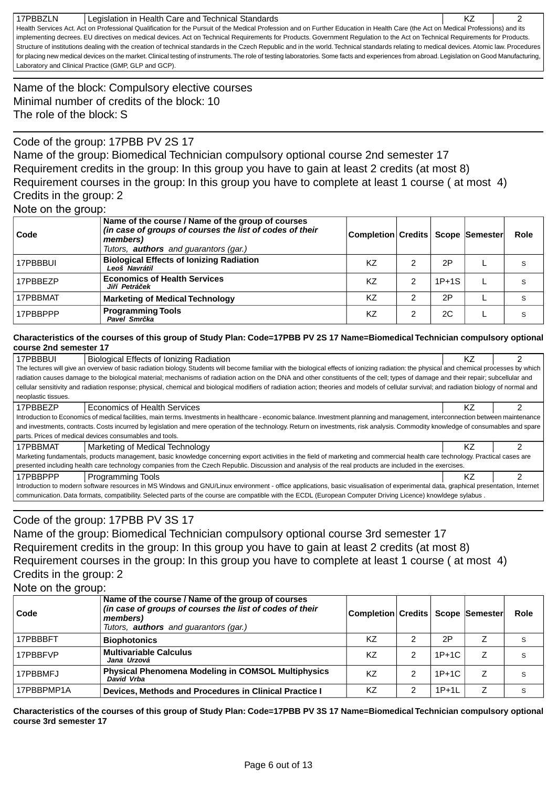| 17PBBZLN | Legislation in Health Care and Technical Standards                                                                                                                                           | KZ |  |
|----------|----------------------------------------------------------------------------------------------------------------------------------------------------------------------------------------------|----|--|
|          | Health Services Act. Act on Professional Qualification for the Pursuit of the Medical Profession and on Further Education in Health Care (the Act on Medical Professions) and its            |    |  |
|          | implementing decrees. EU directives on medical devices. Act on Technical Requirements for Products. Government Regulation to the Act on Technical Requirements for Products.                 |    |  |
|          | Structure of institutions dealing with the creation of technical standards in the Czech Republic and in the world. Technical standards relating to medical devices. Atomic law. Procedures   |    |  |
|          | for placing new medical devices on the market. Clinical testing of instruments. The role of testing laboratories. Some facts and experiences from abroad. Legislation on Good Manufacturing, |    |  |
|          | Laboratory and Clinical Practice (GMP, GLP and GCP).                                                                                                                                         |    |  |

Name of the block: Compulsory elective courses Minimal number of credits of the block: 10 The role of the block: S

## Code of the group: 17PBB PV 2S 17

Name of the group: Biomedical Technician compulsory optional course 2nd semester 17 Requirement credits in the group: In this group you have to gain at least 2 credits (at most 8) Requirement courses in the group: In this group you have to complete at least 1 course ( at most 4) Credits in the group: 2

### Note on the group:

| Code     | Name of the course / Name of the group of courses<br>(in case of groups of courses the list of codes of their<br>members)<br>Tutors, <b>authors</b> and guarantors (gar.) | Completion Credits   Scope Semester |   |         | Role |
|----------|---------------------------------------------------------------------------------------------------------------------------------------------------------------------------|-------------------------------------|---|---------|------|
| 17PBBBUI | <b>Biological Effects of Ionizing Radiation</b><br>Leoš Navrátil                                                                                                          | KZ                                  | 2 | 2P      |      |
| 17PBBEZP | <b>Economics of Health Services</b><br>Ji í Petrá ek                                                                                                                      | KZ                                  | 2 | $1P+1S$ | S    |
| 17PBBMAT | <b>Marketing of Medical Technology</b>                                                                                                                                    | KZ                                  | ົ | 2P      | S    |
| 17PBBPPP | <b>Programming Tools</b><br>Pavel Smr ka                                                                                                                                  | KZ                                  | 2 | 2C      |      |

#### **Characteristics of the courses of this group of Study Plan: Code=17PBB PV 2S 17 Name=Biomedical Technician compulsory optional course 2nd semester 17**

| 17PBBBUI                                                                                                                                                                                     | Biological Effects of Ionizing Radiation                                                                                                                                                    | ΚZ |  |  |
|----------------------------------------------------------------------------------------------------------------------------------------------------------------------------------------------|---------------------------------------------------------------------------------------------------------------------------------------------------------------------------------------------|----|--|--|
| The lectures will give an overview of basic radiation biology. Students will become familiar with the biological effects of ionizing radiation: the physical and chemical processes by which |                                                                                                                                                                                             |    |  |  |
| radiation causes damage to the biological material; mechanisms of radiation action on the DNA and other constituents of the cell; types of damage and their repair; subcellular and          |                                                                                                                                                                                             |    |  |  |
|                                                                                                                                                                                              | cellular sensitivity and radiation response; physical, chemical and biological modifiers of radiation action; theories and models of cellular survival; and radiation biology of normal and |    |  |  |
| neoplastic tissues.                                                                                                                                                                          |                                                                                                                                                                                             |    |  |  |
| 17PBBEZP                                                                                                                                                                                     | <b>Economics of Health Services</b>                                                                                                                                                         | ΚZ |  |  |
|                                                                                                                                                                                              | Introduction to Economics of medical facilities, main terms. Investments in healthcare - economic balance. Investment planning and management, interconnection between maintenance          |    |  |  |
|                                                                                                                                                                                              | and investments, contracts. Costs incurred by legislation and mere operation of the technology. Return on investments, risk analysis. Commodity knowledge of consumables and spare          |    |  |  |
|                                                                                                                                                                                              | parts. Prices of medical devices consumables and tools.                                                                                                                                     |    |  |  |
| 17PBBMAT                                                                                                                                                                                     | Marketing of Medical Technology                                                                                                                                                             | ΚZ |  |  |
|                                                                                                                                                                                              | Marketing fundamentals, products management, basic knowledge concerning export activities in the field of marketing and commercial health care technology. Practical cases are              |    |  |  |
|                                                                                                                                                                                              | presented including health care technology companies from the Czech Republic. Discussion and analysis of the real products are included in the exercises.                                   |    |  |  |
| 17PBBPPP                                                                                                                                                                                     | <b>Programming Tools</b>                                                                                                                                                                    | KZ |  |  |
| Introduction to modern software resources in MS Windows and GNU/Linux environment - office applications, basic visualisation of experimental data, graphical presentation, Internet          |                                                                                                                                                                                             |    |  |  |
|                                                                                                                                                                                              | communication. Data formats, compatibility. Selected parts of the course are compatible with the ECDL (European Computer Driving Licence) knowldege sylabus.                                |    |  |  |

## Code of the group: 17PBB PV 3S 17

Name of the group: Biomedical Technician compulsory optional course 3rd semester 17 Requirement credits in the group: In this group you have to gain at least 2 credits (at most 8) Requirement courses in the group: In this group you have to complete at least 1 course ( at most 4) Credits in the group: 2

Note on the group:

| Code       | Name of the course / Name of the group of courses<br>(in case of groups of courses the list of codes of their<br>members)<br>Tutors, <b>authors</b> and guarantors (gar.) | Completion Credits   Scope  Semester |   |         |   | Role |
|------------|---------------------------------------------------------------------------------------------------------------------------------------------------------------------------|--------------------------------------|---|---------|---|------|
| 17PBBBFT   | <b>Biophotonics</b>                                                                                                                                                       | K7                                   |   | 2P      |   | S    |
| 17PBBFVP   | <b>Multivariable Calculus</b><br>Jana Urzová                                                                                                                              | KZ                                   | 2 | $1P+1C$ |   |      |
| 17PBBMFJ   | <b>Physical Phenomena Modeling in COMSOL Multiphysics</b><br>David Vrba                                                                                                   | K7                                   | 2 | $1P+1C$ |   | S    |
| 17PBBPMP1A | Devices, Methods and Procedures in Clinical Practice I                                                                                                                    | KZ                                   | 2 | $1P+1L$ | 7 | S    |

**Characteristics of the courses of this group of Study Plan: Code=17PBB PV 3S 17 Name=Biomedical Technician compulsory optional course 3rd semester 17**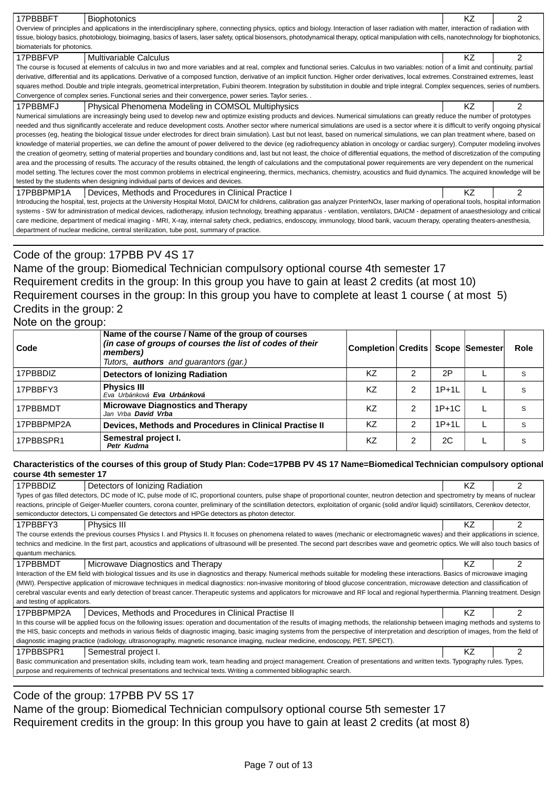| 17PBBBFT                                                                                                                                                                                      | <b>Biophotonics</b>                                                                                                                                                                             | ΚZ |   |  |  |
|-----------------------------------------------------------------------------------------------------------------------------------------------------------------------------------------------|-------------------------------------------------------------------------------------------------------------------------------------------------------------------------------------------------|----|---|--|--|
|                                                                                                                                                                                               | Overview of principles and applications in the interdisciplinary sphere, connecting physics, optics and biology. Interaction of laser radiation with matter, interaction of radiation with      |    |   |  |  |
|                                                                                                                                                                                               | tissue, biology basics, photobiology, bioimaging, basics of lasers, laser safety, optical biosensors, photodynamical therapy, optical manipulation with cells, nanotechnology for biophotonics, |    |   |  |  |
| biomaterials for photonics.                                                                                                                                                                   |                                                                                                                                                                                                 |    |   |  |  |
|                                                                                                                                                                                               |                                                                                                                                                                                                 | ΚZ |   |  |  |
| 17PBBFVP                                                                                                                                                                                      | Multivariable Calculus                                                                                                                                                                          |    |   |  |  |
|                                                                                                                                                                                               | The course is focused at elements of calculus in two and more variables and at real, complex and functional series. Calculus in two variables: notion of a limit and continuity, partial        |    |   |  |  |
|                                                                                                                                                                                               | derivative, differential and its applications. Derivative of a composed function, derivative of an implicit function. Higher order derivatives, local extremes. Constrained extremes, least     |    |   |  |  |
|                                                                                                                                                                                               | squares method. Double and triple integrals, geometrical interpretation, Fubini theorem. Integration by substitution in double and triple integral. Complex sequences, series of numbers.       |    |   |  |  |
|                                                                                                                                                                                               | Convergence of complex series. Functional series and their convergence, power series. Taylor series. .                                                                                          |    |   |  |  |
| 17PBBMFJ                                                                                                                                                                                      | Physical Phenomena Modeling in COMSOL Multiphysics                                                                                                                                              | ΚZ | 2 |  |  |
|                                                                                                                                                                                               | Numerical simulations are increasingly being used to develop new and optimize existing products and devices. Numerical simulations can greatly reduce the number of prototypes                  |    |   |  |  |
|                                                                                                                                                                                               | needed and thus significantly accelerate and reduce development costs. Another sector where numerical simulations are used is a sector where it is difficult to verify ongoing physical         |    |   |  |  |
|                                                                                                                                                                                               | processes (eg, heating the biological tissue under electrodes for direct brain simulation). Last but not least, based on numerical simulations, we can plan treatment where, based on           |    |   |  |  |
|                                                                                                                                                                                               | knowledge of material properties, we can define the amount of power delivered to the device (eg radiofrequency ablation in oncology or cardiac surgery). Computer modeling involves             |    |   |  |  |
|                                                                                                                                                                                               | the creation of geometry, setting of material properties and boundary conditions and, last but not least, the choice of differential equations, the method of discretization of the computing   |    |   |  |  |
|                                                                                                                                                                                               | area and the processing of results. The accuracy of the results obtained, the length of calculations and the computational power requirements are very dependent on the numerical               |    |   |  |  |
|                                                                                                                                                                                               | model setting. The lectures cover the most common problems in electrical engineering, thermics, mechanics, chemistry, acoustics and fluid dynamics. The acquired knowledge will be              |    |   |  |  |
|                                                                                                                                                                                               | tested by the students when designing individual parts of devices and devices.                                                                                                                  |    |   |  |  |
| 17PBBPMP1A                                                                                                                                                                                    | Devices, Methods and Procedures in Clinical Practice I                                                                                                                                          | K7 | 2 |  |  |
|                                                                                                                                                                                               |                                                                                                                                                                                                 |    |   |  |  |
| Introducing the hospital, test, projects at the University Hospital Motol, DAICM for childrens, calibration gas analyzer PrinterNOx, laser marking of operational tools, hospital information |                                                                                                                                                                                                 |    |   |  |  |
|                                                                                                                                                                                               | systems - SW for administration of medical devices, radiotherapy, infusion technology, breathing apparatus - ventilation, ventilators, DAICM - depatment of anaesthesiology and critical        |    |   |  |  |
|                                                                                                                                                                                               | care medicine, department of medical imaging - MRI, X-ray, internal safety check, pediatrics, endoscopy, immunology, blood bank, vacuum therapy, operating theaters-anesthesia,                 |    |   |  |  |
|                                                                                                                                                                                               | department of nuclear medicine, central sterilization, tube post, summary of practice.                                                                                                          |    |   |  |  |

## Code of the group: 17PBB PV 4S 17

Name of the group: Biomedical Technician compulsory optional course 4th semester 17 Requirement credits in the group: In this group you have to gain at least 2 credits (at most 10) Requirement courses in the group: In this group you have to complete at least 1 course ( at most 5) Credits in the group: 2

## Note on the group:

| Code       | Name of the course / Name of the group of courses<br>(in case of groups of courses the list of codes of their<br>members)<br>Tutors, <b>authors</b> and guarantors (gar.) | Completion Credits   Scope   Semester |   |         | Role |
|------------|---------------------------------------------------------------------------------------------------------------------------------------------------------------------------|---------------------------------------|---|---------|------|
| 17PBBDIZ   | <b>Detectors of Ionizing Radiation</b>                                                                                                                                    | ΚZ                                    |   | 2P      |      |
| 17PBBFY3   | <b>Physics III</b><br>Eva Urbánková Eva Urbánková                                                                                                                         | KZ                                    | 2 | $1P+1L$ |      |
| 17PBBMDT   | <b>Microwave Diagnostics and Therapy</b><br>Jan Vrba <b>David Vrba</b>                                                                                                    | ΚZ                                    | 2 | $1P+1C$ |      |
| 17PBBPMP2A | Devices, Methods and Procedures in Clinical Practise II                                                                                                                   | KZ                                    | 2 | $1P+1L$ | S    |
| 17PBBSPR1  | Semestral project I.<br>Petr Kudrna                                                                                                                                       | KZ                                    | 2 | 2C      |      |

#### **Characteristics of the courses of this group of Study Plan: Code=17PBB PV 4S 17 Name=Biomedical Technician compulsory optional course 4th semester 17**

| 17PBBDIZ<br>Detectors of Ionizing Radiation                                                                                                                                                  | ΚZ |   |  |  |  |
|----------------------------------------------------------------------------------------------------------------------------------------------------------------------------------------------|----|---|--|--|--|
| Types of gas filled detectors, DC mode of IC, pulse mode of IC, proportional counters, pulse shape of proportional counter, neutron detection and spectrometry by means of nuclear           |    |   |  |  |  |
| reactions, principle of Geiger-Mueller counters, corona counter, preliminary of the scintillation detectors, exploitation of organic (solid and/or liquid) scintillators, Cerenkov detector, |    |   |  |  |  |
| semiconductor detectors, Li compensated Ge detectors and HPGe detectors as photon detector.                                                                                                  |    |   |  |  |  |
| 17PBBFY3<br>Physics III                                                                                                                                                                      | ΚZ |   |  |  |  |
| The course extends the previous courses Physics I. and Physics II. It focuses on phenomena related to waves (mechanic or electromagnetic waves) and their applications in science,           |    |   |  |  |  |
| technics and medicine. In the first part, acoustics and applications of ultrasound will be presented. The second part describes wave and geometric optics. We will also touch basics of      |    |   |  |  |  |
| quantum mechanics.                                                                                                                                                                           |    |   |  |  |  |
| 17PBBMDT<br>Microwave Diagnostics and Therapy                                                                                                                                                | ΚZ |   |  |  |  |
| Interaction of the EM field with biological tissues and its use in diagnostics and therapy. Numerical methods suitable for modeling these interactions. Basics of microwave imaging          |    |   |  |  |  |
| (MWI). Perspective application of microwave techniques in medical diagnostics: non-invasive monitoring of blood glucose concentration, microwave detection and classification of             |    |   |  |  |  |
| cerebral vascular events and early detection of breast cancer. Therapeutic systems and applicators for microwave and RF local and regional hyperthermia. Planning treatment. Design          |    |   |  |  |  |
| and testing of applicators.                                                                                                                                                                  |    |   |  |  |  |
| 17PBBPMP2A<br>Devices, Methods and Procedures in Clinical Practise II                                                                                                                        | ΚZ |   |  |  |  |
| In this course will be applied focus on the following issues: operation and documentation of the results of imaging methods, the relationship between imaging methods and systems to         |    |   |  |  |  |
| the HIS, basic concepts and methods in various fields of diagnostic imaging, basic imaging systems from the perspective of interpretation and description of images, from the field of       |    |   |  |  |  |
| diagnostic imaging practice (radiology, ultrasonography, magnetic resonance imaging, nuclear medicine, endoscopy, PET, SPECT).                                                               |    |   |  |  |  |
| 17PBBSPR1<br>Semestral project I.                                                                                                                                                            | ΚZ | 2 |  |  |  |
| Basic communication and presentation skills, including team work, team heading and project management. Creation of presentations and written texts. Typography rules. Types,                 |    |   |  |  |  |
| purpose and requirements of technical presentations and technical texts. Writing a commented bibliographic search.                                                                           |    |   |  |  |  |
|                                                                                                                                                                                              |    |   |  |  |  |

## Code of the group: 17PBB PV 5S 17

Name of the group: Biomedical Technician compulsory optional course 5th semester 17 Requirement credits in the group: In this group you have to gain at least 2 credits (at most 8)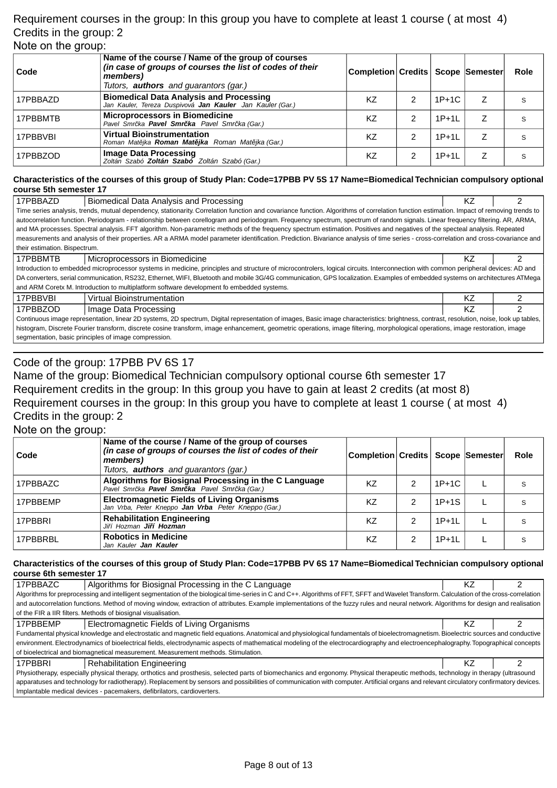### Requirement courses in the group: In this group you have to complete at least 1 course ( at most 4) Credits in the group: 2 Note on the group:

| Code     | Name of the course / Name of the group of courses<br>(in case of groups of courses the list of codes of their<br>members)<br>Tutors, <b>authors</b> and guarantors (gar.) | Completion Credits   Scope Semester |   |         | <b>Role</b> |
|----------|---------------------------------------------------------------------------------------------------------------------------------------------------------------------------|-------------------------------------|---|---------|-------------|
| 17PBBAZD | <b>Biomedical Data Analysis and Processing</b><br>Jan Kauler, Tereza Duspivová <b>Jan Kauler</b> Jan Kauler (Gar.)                                                        | K7                                  | 2 | $1P+1C$ | S           |
| 17PBBMTB | <b>Microprocessors in Biomedicine</b><br>Pavel Smr ka Pavel Smr ka Pavel Smr ka (Gar.)                                                                                    | K7                                  | 2 | $1P+1L$ | S           |
| 17PBBVBI | <b>Virtual Bioinstrumentation</b><br>Roman Mat jka Roman Mat jka Roman Mat jka (Gar.)                                                                                     | ΚZ                                  | 2 | $1P+1L$ | S           |
| 17PBBZOD | Image Data Processing<br>Zoltán Szabó <b>Zoltán Szabó</b> Zoltán Szabó (Gar.)                                                                                             | KZ                                  | 2 | $1P+1L$ | S           |

#### **Characteristics of the courses of this group of Study Plan: Code=17PBB PV 5S 17 Name=Biomedical Technician compulsory optional course 5th semester 17**

| 17PBBAZD                                                                                                                                                                       | Biomedical Data Analysis and Processing                                                                                                                                                  | KZ |  |
|--------------------------------------------------------------------------------------------------------------------------------------------------------------------------------|------------------------------------------------------------------------------------------------------------------------------------------------------------------------------------------|----|--|
|                                                                                                                                                                                | Time series analysis, trends, mutual dependency, stationarity. Correlation function and covariance function. Algorithms of correlation function estimation. Impact of removing trends to |    |  |
|                                                                                                                                                                                | autocorrelation function. Periodogram - relationship between corellogram and periodogram. Frequency spectrum, spectrum of random signals. Linear frequency filtering. AR, ARMA,          |    |  |
|                                                                                                                                                                                | and MA processes. Spectral analysis. FFT algorithm. Non-parametric methods of the frequency spectrum estimation. Positives and negatives of the specteal analysis. Repeated              |    |  |
|                                                                                                                                                                                | measurements and analysis of their properties. AR a ARMA model parameter identification. Prediction. Bivariance analysis of time series - cross-correlation and cross-covariance and     |    |  |
| their estimation. Bispectrum.                                                                                                                                                  |                                                                                                                                                                                          |    |  |
| 17PBBMTB                                                                                                                                                                       | Microprocessors in Biomedicine                                                                                                                                                           | ΚZ |  |
|                                                                                                                                                                                | Introduction to embedded microprocessor systems in medicine, principles and structure of microcontrolers, logical circuits. Interconnection with common peripheral devices: AD and       |    |  |
|                                                                                                                                                                                | DA converters, serial communication, RS232, Ethernet, WIFI, Bluetooth and mobile 3G/4G communication, GPS localization. Examples of embedded systems on architectures ATMega             |    |  |
|                                                                                                                                                                                | and ARM Coretx M. Introduction to multiplatform software development fo embedded systems.                                                                                                |    |  |
| 17PBBVBI                                                                                                                                                                       | <b>Virtual Bioinstrumentation</b>                                                                                                                                                        | ΚZ |  |
| 17PBBZOD                                                                                                                                                                       | Image Data Processing                                                                                                                                                                    | ΚZ |  |
|                                                                                                                                                                                | Continuous image representation, linear 2D systems, 2D spectrum, Digital representation of images, Basic image characteristics: brightness, contrast, resolution, noise, look up tables, |    |  |
| histogram, Discrete Fourier transform, discrete cosine transform, image enhancement, geometric operations, image filtering, morphological operations, image restoration, image |                                                                                                                                                                                          |    |  |
|                                                                                                                                                                                | segmentation, basic principles of image compression.                                                                                                                                     |    |  |

## Code of the group: 17PBB PV 6S 17

Name of the group: Biomedical Technician compulsory optional course 6th semester 17 Requirement credits in the group: In this group you have to gain at least 2 credits (at most 8) Requirement courses in the group: In this group you have to complete at least 1 course ( at most 4) Credits in the group: 2

### Note on the group:

| Code     | Name of the course / Name of the group of courses<br>(in case of groups of courses the list of codes of their<br>members)<br>Tutors, <b>authors</b> and guarantors (gar.) | Completion Credits   Scope   Semester |                |         | Role |
|----------|---------------------------------------------------------------------------------------------------------------------------------------------------------------------------|---------------------------------------|----------------|---------|------|
| 17PBBAZC | Algorithms for Biosignal Processing in the C Language<br>Pavel Smr ka Pavel Smr ka Pavel Smr ka (Gar.)                                                                    | K7                                    | 2              | $1P+1C$ |      |
| 17PBBEMP | <b>Electromagnetic Fields of Living Organisms</b><br>Jan Vrba, Peter Kneppo Jan Vrba Peter Kneppo (Gar.)                                                                  | ΚZ                                    | 2              | $1P+1S$ | S    |
| 17PBBRI  | <b>Rehabilitation Engineering</b><br>Ji í Hozman Ji í Hozman                                                                                                              | ΚZ                                    | $\mathfrak{p}$ | $1P+1L$ | S    |
| 17PBBRBL | <b>Robotics in Medicine</b><br>Jan Kauler <b>Jan Kauler</b>                                                                                                               | ΚZ                                    | 2              | $1P+1L$ |      |

#### **Characteristics of the courses of this group of Study Plan: Code=17PBB PV 6S 17 Name=Biomedical Technician compulsory optional course 6th semester 17**

| 17PBBAZC | Algorithms for Biosignal Processing in the C Language                                                                                                                                     | ΚZ |  |
|----------|-------------------------------------------------------------------------------------------------------------------------------------------------------------------------------------------|----|--|
|          | Algorithms for preprocessing and intelligent segmentation of the biological time-series in C and C++. Algorithms of FFT, SFFT and Wavelet Transform. Calculation of the cross-correlation |    |  |
|          | and autocorrelation functions. Method of moving window, extraction of attributes. Example implementations of the fuzzy rules and neural network. Algorithms for design and realisation    |    |  |
|          | of the FIR a IIR filters. Methods of biosignal visualisation.                                                                                                                             |    |  |
| 17PBBEMP | Electromagnetic Fields of Living Organisms                                                                                                                                                | ΚZ |  |
|          | Fundamental physical knowledge and electrostatic and magnetic field equations. Anatomical and physiological fundamentals of bioelectromagnetism. Bioelectric sources and conductive       |    |  |
|          | environment. Electrodynamics of bioelectrical fields, electrodynamic aspects of mathematical modeling of the electrocardiography and electroencephalography. Topographical concepts       |    |  |
|          | of bioelectrical and biomagnetical measurement. Measurement methods. Stimulation.                                                                                                         |    |  |
| 17PBBRI  | <b>Rehabilitation Engineering</b>                                                                                                                                                         | ΚZ |  |
|          | Physiotherapy, especially physical therapy, orthotics and prosthesis, selected parts of biomechanics and ergonomy. Physical therapeutic methods, technology in therapy (ultrasound        |    |  |
|          | apparatuses and technology for radiotherapy). Replacement by sensors and possibilities of communication with computer. Artificial organs and relevant circulatory confirmatory devices.   |    |  |
|          | Implantable medical devices - pacemakers, defibrilators, cardioverters.                                                                                                                   |    |  |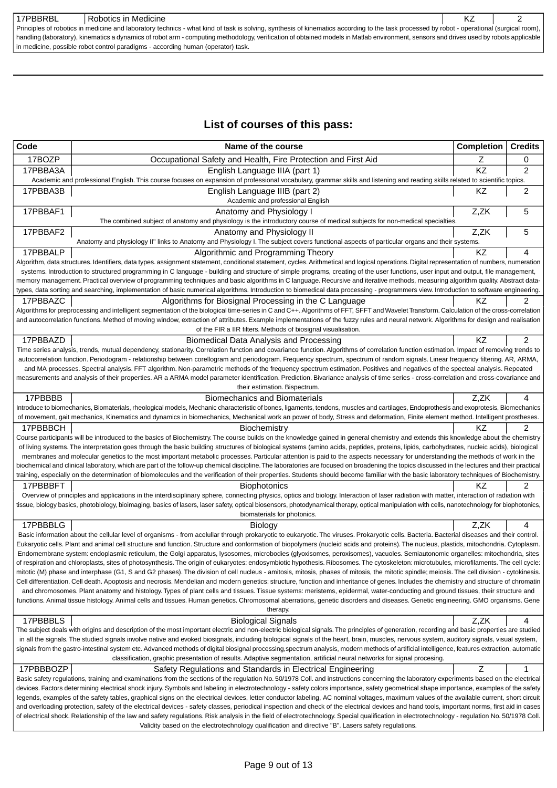| 17PBBRBL                                                                                                                                                                               | Robotics in Medicine                                                                                                                                                                       |  |  |
|----------------------------------------------------------------------------------------------------------------------------------------------------------------------------------------|--------------------------------------------------------------------------------------------------------------------------------------------------------------------------------------------|--|--|
|                                                                                                                                                                                        | Principles of robotics in medicine and laboratory technics - what kind of task is solving, synthesis of kinematics according to the task processed by robot - operational (surgical room), |  |  |
| handling (laboratory), kinematics a dynamics of robot arm - computing methodology, verification of obtained models in Matlab environment, sensors and drives used by robots applicable |                                                                                                                                                                                            |  |  |
|                                                                                                                                                                                        | in medicine, possible robot control paradigms - according human (operator) task.                                                                                                           |  |  |

## **List of courses of this pass:**

| Code      | Name of the course                                                                                                                                                                                                                                                                                                                                                                              | <b>Completion</b> | <b>Credits</b> |
|-----------|-------------------------------------------------------------------------------------------------------------------------------------------------------------------------------------------------------------------------------------------------------------------------------------------------------------------------------------------------------------------------------------------------|-------------------|----------------|
| 17BOZP    | Occupational Safety and Health, Fire Protection and First Aid                                                                                                                                                                                                                                                                                                                                   | Ζ                 | 0              |
| 17PBBA3A  | English Language IIIA (part 1)<br>Academic and professional English. This course focuses on expansion of professional vocabulary, grammar skills and listening and reading skills related to scientific topics.                                                                                                                                                                                 | KZ                | $\overline{2}$ |
| 17PBBA3B  | English Language IIIB (part 2)<br>Academic and professional English                                                                                                                                                                                                                                                                                                                             | KZ                | 2              |
| 17PBBAF1  | Anatomy and Physiology I<br>The combined subject of anatomy and physiology is the introductory course of medical subjects for non-medical specialties.                                                                                                                                                                                                                                          | Z,ZK              | 5              |
| 17PBBAF2  | Anatomy and Physiology II                                                                                                                                                                                                                                                                                                                                                                       | Z,ZK              | 5              |
|           | Anatomy and physiology II" links to Anatomy and Physiology I. The subject covers functional aspects of particular organs and their systems.                                                                                                                                                                                                                                                     |                   |                |
| 17PBBALP  | Algorithmic and Programming Theory                                                                                                                                                                                                                                                                                                                                                              | KZ                | 4              |
|           | Algorithm, data structures. Identifiers, data types. assignment statement, conditional statement, cycles. Arithmetical and logical operations. Digital representation of numbers, numeration<br>systems. Introduction to structured programming in C language - building and structure of simple programs, creating of the user functions, user input and output, file management,              |                   |                |
|           | memory management. Practical overview of programming techniques and basic algorithms in C language. Recursive and iterative methods, measuring algorithm quality. Abstract data-                                                                                                                                                                                                                |                   |                |
|           | types, data sorting and searching, implementation of basic numerical algorithms. Introduction to biomedical data processing - programmers view. Introduction to software engineering.                                                                                                                                                                                                           |                   |                |
| 17PBBAZC  | Algorithms for Biosignal Processing in the C Language<br>Algorithms for preprocessing and intelligent segmentation of the biological time-series in C and C++. Algorithms of FFT, SFFT and Wavelet Transform. Calculation of the cross-correlation                                                                                                                                              | ΚZ                | 2              |
|           | and autocorrelation functions. Method of moving window, extraction of attributes. Example implementations of the fuzzy rules and neural network. Algorithms for design and realisation                                                                                                                                                                                                          |                   |                |
|           | of the FIR a IIR filters. Methods of biosignal visualisation.                                                                                                                                                                                                                                                                                                                                   |                   |                |
| 17PBBAZD  | Biomedical Data Analysis and Processing                                                                                                                                                                                                                                                                                                                                                         | KZ                | 2              |
|           | Time series analysis, trends, mutual dependency, stationarity. Correlation function and covariance function. Algorithms of correlation function estimation. Impact of removing trends to                                                                                                                                                                                                        |                   |                |
|           | autocorrelation function. Periodogram - relationship between corellogram and periodogram. Frequency spectrum, spectrum of random signals. Linear frequency filtering. AR, ARMA,<br>and MA processes. Spectral analysis. FFT algorithm. Non-parametric methods of the frequency spectrum estimation. Positives and negatives of the specteal analysis. Repeated                                  |                   |                |
|           | measurements and analysis of their properties. AR a ARMA model parameter identification. Prediction. Bivariance analysis of time series - cross-correlation and cross-covariance and                                                                                                                                                                                                            |                   |                |
|           | their estimation. Bispectrum.                                                                                                                                                                                                                                                                                                                                                                   |                   |                |
| 17PBBBB   | <b>Biomechanics and Biomaterials</b>                                                                                                                                                                                                                                                                                                                                                            | Z,ZK              | 4              |
|           | Introduce to biomechanics, Biomaterials, rheological models, Mechanic characteristic of bones, ligaments, tendons, muscles and cartilages, Endoprothesis and exoprotesis, Biomechanics                                                                                                                                                                                                          |                   |                |
| 17PBBBCH  | of movement, gait mechanics, Kinematics and dynamics in biomechanics, Mechanical work an power of body, Stress and deformation, Finite element method. Intelligent prostheses.<br>Biochemistry                                                                                                                                                                                                  | ΚZ                | 2              |
|           | Course participants will be introduced to the basics of Biochemistry. The course builds on the knowledge gained in general chemistry and extends this knowledge about the chemistry                                                                                                                                                                                                             |                   |                |
|           | of living systems. The interpretation goes through the basic building structures of biological systems (amino acids, peptides, proteins, lipids, carbohydrates, nucleic acids), biological                                                                                                                                                                                                      |                   |                |
|           | membranes and molecular genetics to the most important metabolic processes. Particular attention is paid to the aspects necessary for understanding the methods of work in the                                                                                                                                                                                                                  |                   |                |
|           | biochemical and clinical laboratory, which are part of the follow-up chemical discipline. The laboratories are focused on broadening the topics discussed in the lectures and their practical                                                                                                                                                                                                   |                   |                |
| 17PBBBFT  | training, especially on the determination of biomolecules and the verification of their properties. Students should become familiar with the basic laboratory techniques of Biochemistry.<br><b>Biophotonics</b>                                                                                                                                                                                | KZ                | 2              |
|           | Overview of principles and applications in the interdisciplinary sphere, connecting physics, optics and biology. Interaction of laser radiation with matter, interaction of radiation with                                                                                                                                                                                                      |                   |                |
|           | tissue, biology basics, photobiology, bioimaging, basics of lasers, laser safety, optical biosensors, photodynamical therapy, optical manipulation with cells, nanotechnology for biophotonics,                                                                                                                                                                                                 |                   |                |
|           | biomaterials for photonics.                                                                                                                                                                                                                                                                                                                                                                     |                   |                |
| 17PBBBLG  | Biology                                                                                                                                                                                                                                                                                                                                                                                         | Z.ZK              | 4              |
|           | Basic information about the cellular level of organisms - from acelullar through prokaryotic to eukaryotic. The viruses. Prokaryotic cells. Bacteria. Bacterial diseases and their control.<br>Eukaryotic cells. Plant and animal cell structure and function. Structure and conformation of biopolymers (nucleid acids and proteins). The nucleus, plastids, mitochondria. Cytoplasm.          |                   |                |
|           | Endomembrane system: endoplasmic reticulum, the Golgi apparatus, lysosomes, microbodies (glyoxisomes, peroxisomes), vacuoles. Semiautonomic organelles: mitochondria, sites                                                                                                                                                                                                                     |                   |                |
|           | of respiration and chloroplasts, sites of photosynthesis. The origin of eukaryotes: endosymbiotic hypothesis. Ribosomes. The cytoskeleton: microtubules, microfilaments. The cell cycle:                                                                                                                                                                                                        |                   |                |
|           | mitotic (M) phase and interphase (G1, S and G2 phases). The division of cell nucleus - amitosis, mitosis, phases of mitosis, the mitotic spindle; meiosis. The cell division - cytokinesis.                                                                                                                                                                                                     |                   |                |
|           | Cell differentiation. Cell death. Apoptosis and necrosis. Mendelian and modern genetics: structure, function and inheritance of genes. Includes the chemistry and structure of chromatin                                                                                                                                                                                                        |                   |                |
|           | and chromosomes. Plant anatomy and histology. Types of plant cells and tissues. Tissue systems: meristems, epidermal, water-conducting and ground tissues, their structure and<br>functions. Animal tissue histology. Animal cells and tissues. Human genetics. Chromosomal aberrations, genetic disorders and diseases. Genetic engineering. GMO organisms. Gene                               |                   |                |
|           | therapy.                                                                                                                                                                                                                                                                                                                                                                                        |                   |                |
| 17PBBBLS  | <b>Biological Signals</b>                                                                                                                                                                                                                                                                                                                                                                       | Z,ZK              | 4              |
|           | The subject deals with origins and description of the most important electric and non-electric biological signals. The principles of generation, recording and basic properties are studied                                                                                                                                                                                                     |                   |                |
|           | in all the signals. The studied signals involve native and evoked biosignals, including biological signals of the heart, brain, muscles, nervous system, auditory signals, visual system,<br>signals from the gastro-intestinal system etc. Advanced methods of digital biosignal processing,spectrum analysis, modern methods of artificial intelligence, features extraction, automatic       |                   |                |
|           | classification, graphic presentation of results. Adaptive segmentation, artificial neural networks for signal procesing.                                                                                                                                                                                                                                                                        |                   |                |
| 17PBBBOZP | Safety Regulations and Standards in Electrical Engineering                                                                                                                                                                                                                                                                                                                                      | Z                 | 1              |
|           | Basic safety regulations, training and examinations from the sections of the regulation No. 50/1978 Coll. and instructions concerning the laboratory experiments based on the electrical                                                                                                                                                                                                        |                   |                |
|           | devices. Factors determining electrical shock injury. Symbols and labeling in electrotechnology - safety colors importance, safety geometrical shape importance, examples of the safety                                                                                                                                                                                                         |                   |                |
|           | legends, examples of the safety tables, graphical signs on the electrical devices, letter conductor labeling, AC nominal voltages, maximum values of the available current, short circuit                                                                                                                                                                                                       |                   |                |
|           | and overloading protection, safety of the electrical devices - safety classes, periodical inspection and check of the electrical devices and hand tools, important norms, first aid in cases<br>of electrical shock. Relationship of the law and safety regulations. Risk analysis in the field of electrotechnology. Special qualification in electrotechnology - regulation No. 50/1978 Coll. |                   |                |
|           | Validity based on the electrotechnology qualification and directive "B". Lasers safety regulations.                                                                                                                                                                                                                                                                                             |                   |                |
|           |                                                                                                                                                                                                                                                                                                                                                                                                 |                   |                |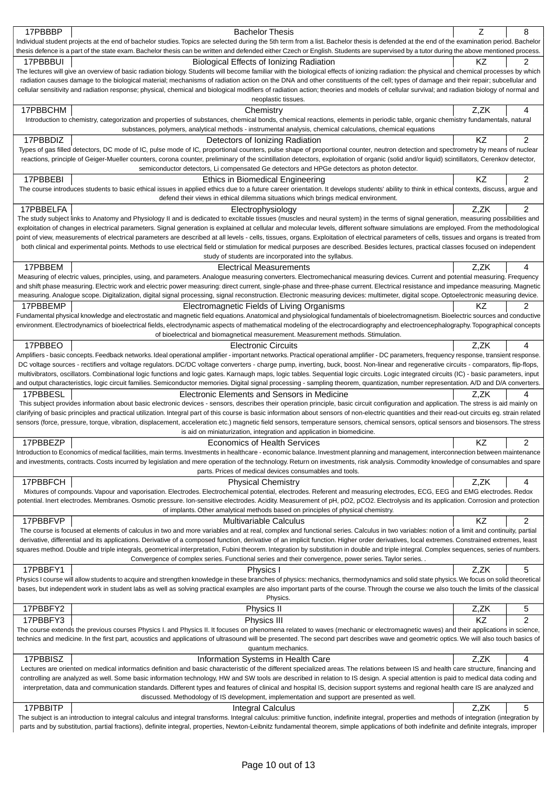| 17PBBBP   | <b>Bachelor Thesis</b>                                                                                                                                                                                                                                                                                                                                                         | Z    | 8              |
|-----------|--------------------------------------------------------------------------------------------------------------------------------------------------------------------------------------------------------------------------------------------------------------------------------------------------------------------------------------------------------------------------------|------|----------------|
|           | Individual student projects at the end of bachelor studies. Topics are selected during the 5th term from a list. Bachelor thesis is defended at the end of the examination period. Bachelor                                                                                                                                                                                    |      |                |
|           | thesis defence is a part of the state exam. Bachelor thesis can be written and defended either Czech or English. Students are supervised by a tutor during the above mentioned process.                                                                                                                                                                                        |      |                |
| 17PBBBUI  | Biological Effects of Ionizing Radiation                                                                                                                                                                                                                                                                                                                                       | KZ.  | 2              |
|           | The lectures will give an overview of basic radiation biology. Students will become familiar with the biological effects of ionizing radiation: the physical and chemical processes by which                                                                                                                                                                                   |      |                |
|           | radiation causes damage to the biological material; mechanisms of radiation action on the DNA and other constituents of the cell; types of damage and their repair; subcellular and                                                                                                                                                                                            |      |                |
|           | cellular sensitivity and radiation response; physical, chemical and biological modifiers of radiation action; theories and models of cellular survival; and radiation biology of normal and<br>neoplastic tissues.                                                                                                                                                             |      |                |
| 17PBBCHM  | Chemistry                                                                                                                                                                                                                                                                                                                                                                      | Z,ZK | 4              |
|           | Introduction to chemistry, categorization and properties of substances, chemical bonds, chemical reactions, elements in periodic table, organic chemistry fundamentals, natural                                                                                                                                                                                                |      |                |
|           | substances, polymers, analytical methods - instrumental analysis, chemical calculations, chemical equations                                                                                                                                                                                                                                                                    |      |                |
| 17PBBDIZ  | Detectors of Ionizing Radiation                                                                                                                                                                                                                                                                                                                                                | KZ   | 2              |
|           | Types of gas filled detectors, DC mode of IC, pulse mode of IC, proportional counters, pulse shape of proportional counter, neutron detection and spectrometry by means of nuclear                                                                                                                                                                                             |      |                |
|           | reactions, principle of Geiger-Mueller counters, corona counter, preliminary of the scintillation detectors, exploitation of organic (solid and/or liquid) scintillators, Cerenkov detector,                                                                                                                                                                                   |      |                |
|           | semiconductor detectors, Li compensated Ge detectors and HPGe detectors as photon detector.                                                                                                                                                                                                                                                                                    |      |                |
| 17PBBEBI  | Ethics in Biomedical Engineering                                                                                                                                                                                                                                                                                                                                               | KZ   | 2              |
|           | The course introduces students to basic ethical issues in applied ethics due to a future career orientation. It develops students' ability to think in ethical contexts, discuss, argue and                                                                                                                                                                                    |      |                |
|           | defend their views in ethical dilemma situations which brings medical environment.                                                                                                                                                                                                                                                                                             |      |                |
| 17PBBELFA | Electrophysiology                                                                                                                                                                                                                                                                                                                                                              | Z,ZK | $\overline{2}$ |
|           | The study subject links to Anatomy and Physiology II and is dedicated to excitable tissues (muscles and neural system) in the terms of signal generation, measuring possibilities and                                                                                                                                                                                          |      |                |
|           | exploitation of changes in electrical parameters. Signal generation is explained at cellular and molecular levels, different software simulations are employed. From the methodological                                                                                                                                                                                        |      |                |
|           | point of view, measurements of electrical parameters are described at all levels - cells, tissues, organs. Exploitation of electrical parameters of cells, tissues and organs is treated from                                                                                                                                                                                  |      |                |
|           | both clinical and experimental points. Methods to use electrical field or stimulation for medical purposes are described. Besides lectures, practical classes focused on independent                                                                                                                                                                                           |      |                |
|           | study of students are incorporated into the syllabus.                                                                                                                                                                                                                                                                                                                          |      |                |
| 17PBBEM   | <b>Electrical Measurements</b>                                                                                                                                                                                                                                                                                                                                                 | Z.ZK | 4              |
|           | Measuring of electric values, principles, using, and parameters. Analogue measuring converters. Electromechanical measuring devices. Current and potential measuring. Frequency                                                                                                                                                                                                |      |                |
|           | and shift phase measuring. Electric work and electric power measuring: direct current, single-phase and three-phase current. Electrical resistance and impedance measuring. Magnetic<br>measuring. Analogue scope. Digitalization, digital signal processing, signal reconstruction. Electronic measuring devices: multimeter, digital scope. Optoelectronic measuring device. |      |                |
| 17PBBEMP  |                                                                                                                                                                                                                                                                                                                                                                                | KZ   |                |
|           | Electromagnetic Fields of Living Organisms<br>Fundamental physical knowledge and electrostatic and magnetic field equations. Anatomical and physiological fundamentals of bioelectromagnetism. Bioelectric sources and conductive                                                                                                                                              |      | 2              |
|           | environment. Electrodynamics of bioelectrical fields, electrodynamic aspects of mathematical modeling of the electrocardiography and electroencephalography. Topographical concepts                                                                                                                                                                                            |      |                |
|           | of bioelectrical and biomagnetical measurement. Measurement methods. Stimulation.                                                                                                                                                                                                                                                                                              |      |                |
| 17PBBEO   | <b>Electronic Circuits</b>                                                                                                                                                                                                                                                                                                                                                     | Z.ZK | 4              |
|           | Amplifiers - basic concepts. Feedback networks. Ideal operational amplifier - important networks. Practical operational amplifier - DC parameters, frequency response, transient response.                                                                                                                                                                                     |      |                |
|           | DC voltage sources - rectifiers and voltage regulators. DC/DC voltage converters - charge pump, inverting, buck, boost. Non-linear and regenerative circuits - comparators, flip-flops,                                                                                                                                                                                        |      |                |
|           | multivibrators, oscillators. Combinational logic functions and logic gates. Karnaugh maps, logic tables. Sequential logic circuits. Logic integrated circuits (IC) - basic parameters, input                                                                                                                                                                                   |      |                |
|           | and output characteristics, logic circuit families. Semiconductor memories. Digital signal processing - sampling theorem, quantization, number representation. A/D and D/A converters.                                                                                                                                                                                         |      |                |
| 17PBBESL  | Electronic Elements and Sensors in Medicine                                                                                                                                                                                                                                                                                                                                    | Z,ZK | 4              |
|           | This subject provides information about basic electronic devices - sensors, describes their operation principle, basic circuit configuration and application. The stress is aid mainly on                                                                                                                                                                                      |      |                |
|           | clarifying of basic principles and practical utilization. Integral part of this course is basic information about sensors of non-electric quantities and their read-out circuits eg. strain related                                                                                                                                                                            |      |                |
|           | sensors (force, pressure, torque, vibration, displacement, acceleration etc.) magnetic field sensors, temperature sensors, chemical sensors, optical sensors and biosensors. The stress                                                                                                                                                                                        |      |                |
|           | is aid on miniaturization, integration and application in biomedicine.                                                                                                                                                                                                                                                                                                         |      | 2              |
| 17PBBEZP  | <b>Economics of Health Services</b><br>Introduction to Economics of medical facilities, main terms. Investments in healthcare - economic balance. Investment planning and management, interconnection between maintenance                                                                                                                                                      | KZ.  |                |
|           | and investments, contracts. Costs incurred by legislation and mere operation of the technology. Return on investments, risk analysis. Commodity knowledge of consumables and spare                                                                                                                                                                                             |      |                |
|           | parts. Prices of medical devices consumables and tools.                                                                                                                                                                                                                                                                                                                        |      |                |
| 17PBBFCH  | <b>Physical Chemistry</b>                                                                                                                                                                                                                                                                                                                                                      | Z,ZK | 4              |
|           | Mixtures of compounds. Vapour and vaporisation. Electrodes. Electrochemical potential, electrodes. Referent and measuring electrodes, ECG, EEG and EMG electrodes. Redox                                                                                                                                                                                                       |      |                |
|           | potential. Inert electrodes. Membranes. Osmotic pressure. Ion-sensitive electrodes. Acidity. Measurement of pH, pO2, pCO2. Electrolysis and its application. Corrosion and protection                                                                                                                                                                                          |      |                |
|           | of implants. Other amalytical methods based on principles of physical chemistry.                                                                                                                                                                                                                                                                                               |      |                |
| 17PBBFVP  | <b>Multivariable Calculus</b>                                                                                                                                                                                                                                                                                                                                                  | KZ   | 2              |
|           | The course is focused at elements of calculus in two and more variables and at real, complex and functional series. Calculus in two variables: notion of a limit and continuity, partial                                                                                                                                                                                       |      |                |
|           | derivative, differential and its applications. Derivative of a composed function, derivative of an implicit function. Higher order derivatives, local extremes. Constrained extremes, least                                                                                                                                                                                    |      |                |
|           | squares method. Double and triple integrals, geometrical interpretation, Fubini theorem. Integration by substitution in double and triple integral. Complex sequences, series of numbers.                                                                                                                                                                                      |      |                |
|           | Convergence of complex series. Functional series and their convergence, power series. Taylor series. .                                                                                                                                                                                                                                                                         |      |                |
| 17PBBFY1  | Physics I                                                                                                                                                                                                                                                                                                                                                                      | Z,ZK | 5              |
|           | Physics I course will allow students to acquire and strengthen knowledge in these branches of physics: mechanics, thermodynamics and solid state physics. We focus on solid theoretical                                                                                                                                                                                        |      |                |
|           | bases, but independent work in student labs as well as solving practical examples are also important parts of the course. Through the course we also touch the limits of the classical                                                                                                                                                                                         |      |                |
|           | Physics.                                                                                                                                                                                                                                                                                                                                                                       |      |                |
| 17PBBFY2  | Physics II                                                                                                                                                                                                                                                                                                                                                                     | Z,ZK | 5              |
| 17PBBFY3  | Physics III                                                                                                                                                                                                                                                                                                                                                                    | KZ   | 2              |
|           | The course extends the previous courses Physics I. and Physics II. It focuses on phenomena related to waves (mechanic or electromagnetic waves) and their applications in science,                                                                                                                                                                                             |      |                |
|           | technics and medicine. In the first part, acoustics and applications of ultrasound will be presented. The second part describes wave and geometric optics. We will also touch basics of                                                                                                                                                                                        |      |                |
|           | quantum mechanics.                                                                                                                                                                                                                                                                                                                                                             |      |                |
| 17PBBISZ  | Information Systems in Health Care                                                                                                                                                                                                                                                                                                                                             | Z,ZK | 4              |
|           | Lectures are oriented on medical informatics definition and basic characteristic of the different specialized areas. The relations between IS and health care structure, financing and                                                                                                                                                                                         |      |                |
|           | controlling are analyzed as well. Some basic information technology, HW and SW tools are described in relation to IS design. A special attention is paid to medical data coding and<br>interpretation, data and communication standards. Different types and features of clinical and hospital IS, decision support systems and regional health care IS are analyzed and       |      |                |
|           | discussed. Methodology of IS development, implementation and support are presented as well.                                                                                                                                                                                                                                                                                    |      |                |
| 17PBBITP  | Integral Calculus                                                                                                                                                                                                                                                                                                                                                              | Z,ZK | 5              |
|           | The subject is an introduction to integral calculus and integral transforms. Integral calculus: primitive function, indefinite integral, properties and methods of integration (integration by                                                                                                                                                                                 |      |                |
|           | parts and by substitution, partial fractions), definite integral, properties, Newton-Leibnitz fundamental theorem, simple applications of both indefinite and definite integrals, improper                                                                                                                                                                                     |      |                |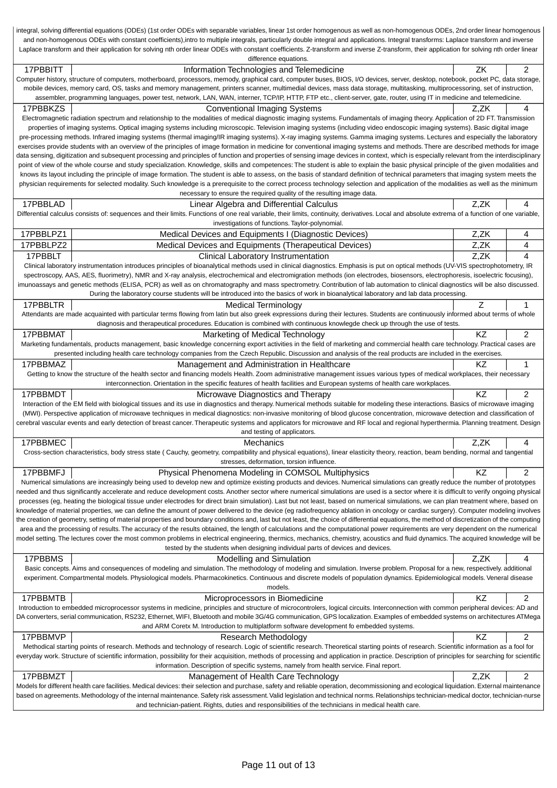|           | integral, solving differential equations (ODEs) (1st order ODEs with separable variables, linear 1st order homogenous as well as non-homogenous ODEs, 2nd order linear homogenous                                                                                                                                                                                               |           |                |
|-----------|---------------------------------------------------------------------------------------------------------------------------------------------------------------------------------------------------------------------------------------------------------------------------------------------------------------------------------------------------------------------------------|-----------|----------------|
|           | and non-homogenous ODEs with constant coefficients),intro to multiple integrals, particularly double integral and applications. Integral transforms: Laplace transform and inverse                                                                                                                                                                                              |           |                |
|           | Laplace transform and their application for solving nth order linear ODEs with constant coefficients. Z-transform and inverse Z-transform, their application for solving nth order linear<br>difference equations.                                                                                                                                                              |           |                |
| 17PBBITT  | Information Technologies and Telemedicine                                                                                                                                                                                                                                                                                                                                       | ΖK        | 2              |
|           | Computer history, structure of computers, motherboard, processors, memody, graphical card, computer buses, BIOS, I/O devices, server, desktop, notebook, pocket PC, data storage,                                                                                                                                                                                               |           |                |
|           | mobile devices, memory card, OS, tasks and memory management, printers scanner, multimedial devices, mass data storage, multitasking, multiprocessoring, set of instruction,                                                                                                                                                                                                    |           |                |
|           | assembler, programming languages, power test, network, LAN, WAN, interner, TCP/IP, HTTP, FTP etc., client-server, gate, router, using IT in medicine and telemedicine.                                                                                                                                                                                                          |           |                |
| 17PBBKZS  | <b>Conventional Imaging Systems</b>                                                                                                                                                                                                                                                                                                                                             | Z.ZK      | 4              |
|           | Electromagnetic radiation spectrum and relationship to the modalities of medical diagnostic imaging systems. Fundamentals of imaging theory. Application of 2D FT. Transmission                                                                                                                                                                                                 |           |                |
|           | properties of imaging systems. Optical imaging systems including microscopic. Television imaging systems (including video endoscopic imaging systems). Basic digital image                                                                                                                                                                                                      |           |                |
|           | pre-processing methods. Infrared imaging systems (thermal imaging/IR imaging systems). X-ray imaging systems. Gamma imaging systems. Lectures and especially the laboratory                                                                                                                                                                                                     |           |                |
|           | exercises provide students with an overview of the principles of image formation in medicine for conventional imaging systems and methods. There are described methods for image<br>data sensing, digitization and subsequent processing and principles of function and properties of sensing image devices in context, which is especially relevant from the interdisciplinary |           |                |
|           | point of view of the whole course and study specialization. Knowledge, skills and competences: The student is able to explain the basic physical principle of the given modalities and                                                                                                                                                                                          |           |                |
|           | knows its layout including the principle of image formation. The student is able to assess, on the basis of standard definition of technical parameters that imaging system meets the                                                                                                                                                                                           |           |                |
|           | physician requirements for selected modality. Such knowledge is a prerequisite to the correct process technology selection and application of the modalities as well as the minimum                                                                                                                                                                                             |           |                |
|           | necessary to ensure the required quality of the resulting image data.                                                                                                                                                                                                                                                                                                           |           |                |
| 17PBBLAD  | Linear Algebra and Differential Calculus                                                                                                                                                                                                                                                                                                                                        | Z,ZK      | 4              |
|           | Differential calculus consists of: sequences and their limits. Functions of one real variable, their limits, continuity, derivatives. Local and absolute extrema of a function of one variable,                                                                                                                                                                                 |           |                |
|           | investigations of functions. Taylor-polynomial.                                                                                                                                                                                                                                                                                                                                 |           |                |
| 17PBBLPZ1 | Medical Devices and Equipments I (Diagnostic Devices)                                                                                                                                                                                                                                                                                                                           | Z,ZK      | 4              |
| 17PBBLPZ2 | Medical Devices and Equipments (Therapeutical Devices)                                                                                                                                                                                                                                                                                                                          | Z,ZK      | 4              |
| 17PBBLT   | Clinical Laboratory Instrumentation                                                                                                                                                                                                                                                                                                                                             | Z,ZK      | 4              |
|           | Clinical laboratory instrumentation introduces principles of bioanalytical methods used in clinical diagnostics. Emphasis is put on optical methods (UV-VIS spectrophotometry, IR                                                                                                                                                                                               |           |                |
|           | spectroscopy, AAS, AES, fluorimetry), NMR and X-ray analysis, electrochemical and electromigration methods (ion electrodes, biosensors, electrophoresis, isoelectric focusing),                                                                                                                                                                                                 |           |                |
|           | imunoassays and genetic methods (ELISA, PCR) as well as on chromatography and mass spectrometry. Contribution of lab automation to clinical diagnostics will be also discussed<br>During the laboratory course students will be introduced into the basics of work in bioanalytical laboratory and lab data processing.                                                         |           |                |
| 17PBBLTR  |                                                                                                                                                                                                                                                                                                                                                                                 | Ζ         | 1              |
|           | <b>Medical Terminology</b><br>Attendants are made acquainted with particular terms flowing from latin but also greek expressions during their lectures. Students are continuously informed about terms of whole                                                                                                                                                                 |           |                |
|           | diagnosis and therapeutical procedures. Education is combined with continuous knowlegde check up through the use of tests.                                                                                                                                                                                                                                                      |           |                |
| 17PBBMAT  | Marketing of Medical Technology                                                                                                                                                                                                                                                                                                                                                 | <b>KZ</b> | 2              |
|           | Marketing fundamentals, products management, basic knowledge concerning export activities in the field of marketing and commercial health care technology. Practical cases are                                                                                                                                                                                                  |           |                |
|           | presented including health care technology companies from the Czech Republic. Discussion and analysis of the real products are included in the exercises.                                                                                                                                                                                                                       |           |                |
| 17PBBMAZ  | Management and Administration in Healthcare                                                                                                                                                                                                                                                                                                                                     | KZ.       | 1              |
|           | Getting to know the structure of the health sector and financing models Health. Zoom administrative management issues various types of medical workplaces, their necessary                                                                                                                                                                                                      |           |                |
|           | interconnection. Orientation in the specific features of health facilities and European systems of health care workplaces.                                                                                                                                                                                                                                                      |           |                |
| 17PBBMDT  | Microwave Diagnostics and Therapy                                                                                                                                                                                                                                                                                                                                               | ΚZ        | 2              |
|           | Interaction of the EM field with biological tissues and its use in diagnostics and therapy. Numerical methods suitable for modeling these interactions. Basics of microwave imaging                                                                                                                                                                                             |           |                |
|           | (MWI). Perspective application of microwave techniques in medical diagnostics: non-invasive monitoring of blood glucose concentration, microwave detection and classification of                                                                                                                                                                                                |           |                |
|           | cerebral vascular events and early detection of breast cancer. Therapeutic systems and applicators for microwave and RF local and regional hyperthermia. Planning treatment. Design<br>and testing of applicators.                                                                                                                                                              |           |                |
| 17PBBMEC  | Mechanics                                                                                                                                                                                                                                                                                                                                                                       | Z,ZK      | 4              |
|           | Cross-section characteristics, body stress state (Cauchy, geometry, compatibility and physical equations), linear elasticity theory, reaction, beam bending, normal and tangential                                                                                                                                                                                              |           |                |
|           | stresses, deformation, torsion influence.                                                                                                                                                                                                                                                                                                                                       |           |                |
| 17PBBMFJ  | Physical Phenomena Modeling in COMSOL Multiphysics                                                                                                                                                                                                                                                                                                                              | KZ        | $\overline{c}$ |
|           | Numerical simulations are increasingly being used to develop new and optimize existing products and devices. Numerical simulations can greatly reduce the number of prototypes                                                                                                                                                                                                  |           |                |
|           | needed and thus significantly accelerate and reduce development costs. Another sector where numerical simulations are used is a sector where it is difficult to verify ongoing physical                                                                                                                                                                                         |           |                |
|           | processes (eg, heating the biological tissue under electrodes for direct brain simulation). Last but not least, based on numerical simulations, we can plan treatment where, based on                                                                                                                                                                                           |           |                |
|           | knowledge of material properties, we can define the amount of power delivered to the device (eg radiofrequency ablation in oncology or cardiac surgery). Computer modeling involves                                                                                                                                                                                             |           |                |
|           | the creation of geometry, setting of material properties and boundary conditions and, last but not least, the choice of differential equations, the method of discretization of the computing                                                                                                                                                                                   |           |                |
|           | area and the processing of results. The accuracy of the results obtained, the length of calculations and the computational power requirements are very dependent on the numerical<br>model setting. The lectures cover the most common problems in electrical engineering, thermics, mechanics, chemistry, acoustics and fluid dynamics. The acquired knowledge will be         |           |                |
|           | tested by the students when designing individual parts of devices and devices.                                                                                                                                                                                                                                                                                                  |           |                |
| 17PBBMS   | Modelling and Simulation                                                                                                                                                                                                                                                                                                                                                        | Z,ZK      | 4              |
|           | Basic concepts. Aims and consequences of modeling and simulation. The methodology of modeling and simulation. Inverse problem. Proposal for a new, respectively. additional                                                                                                                                                                                                     |           |                |
|           | experiment. Compartmental models. Physiological models. Pharmacokinetics. Continuous and discrete models of population dynamics. Epidemiological models. Veneral disease                                                                                                                                                                                                        |           |                |
|           | models.                                                                                                                                                                                                                                                                                                                                                                         |           |                |
| 17PBBMTB  | Microprocessors in Biomedicine                                                                                                                                                                                                                                                                                                                                                  | KZ        | $\overline{c}$ |
|           | Introduction to embedded microprocessor systems in medicine, principles and structure of microcontrolers, logical circuits. Interconnection with common peripheral devices: AD and                                                                                                                                                                                              |           |                |
|           | DA converters, serial communication, RS232, Ethernet, WIFI, Bluetooth and mobile 3G/4G communication, GPS localization. Examples of embedded systems on architectures ATMega                                                                                                                                                                                                    |           |                |
|           | and ARM Coretx M. Introduction to multiplatform software development fo embedded systems.                                                                                                                                                                                                                                                                                       |           |                |
| 17PBBMVP  | <b>Research Methodology</b>                                                                                                                                                                                                                                                                                                                                                     | KZ        | $\overline{c}$ |
|           | Methodical starting points of research. Methods and technology of research. Logic of scientific research. Theoretical starting points of research. Scientific information as a fool for                                                                                                                                                                                         |           |                |
|           | everyday work. Structure of scientific information, possibility for their acquisition, methods of processing and application in practice. Description of principles for searching for scientific<br>information. Description of specific systems, namely from health service. Final report.                                                                                     |           |                |
| 17PBBMZT  | Management of Health Care Technology                                                                                                                                                                                                                                                                                                                                            | Z,ZK      | $\overline{c}$ |
|           | Models for different health care facilities. Medical devices: their selection and purchase, safety and reliable operation, decommissioning and ecological liquidation. External maintenance                                                                                                                                                                                     |           |                |
|           | based on agreements. Methodology of the internal maintenance. Safety risk assessment. Valid legislation and technical norms. Relationships technician-medical doctor, technician-nurse                                                                                                                                                                                          |           |                |
|           | and technician-patient. Rights, duties and responsibilities of the technicians in medical health care.                                                                                                                                                                                                                                                                          |           |                |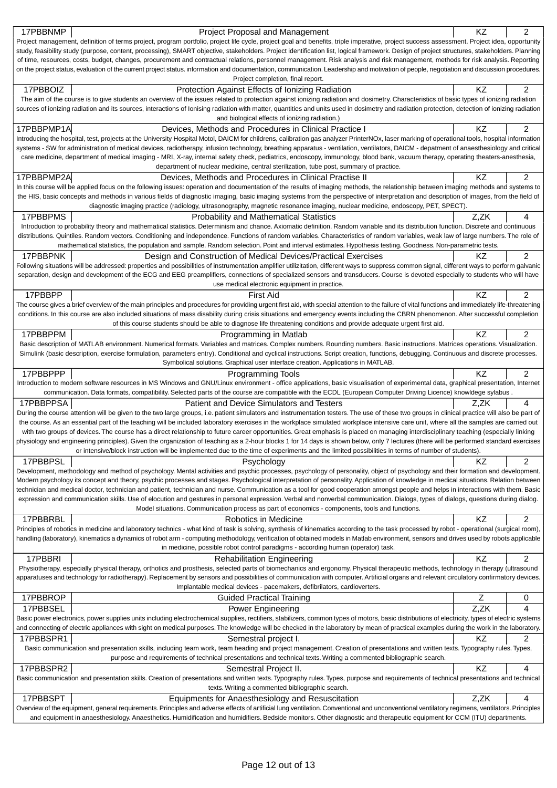| 17PBBNMP   | Project Proposal and Management                                                                                                                                                                                                                                                                                                                                                  | ΚZ   | 2              |
|------------|----------------------------------------------------------------------------------------------------------------------------------------------------------------------------------------------------------------------------------------------------------------------------------------------------------------------------------------------------------------------------------|------|----------------|
|            | Project management, definition of terms project, program portfolio, project life cycle, project goal and benefits, triple imperative, project success assessment. Project idea, opportunity                                                                                                                                                                                      |      |                |
|            | study, feasibility study (purpose, content, processing), SMART objective, stakeholders. Project identification list, logical framework. Design of project structures, stakeholders. Planning                                                                                                                                                                                     |      |                |
|            | of time, resources, costs, budget, changes, procurement and contractual relations, personnel management. Risk analysis and risk management, methods for risk analysis. Reporting                                                                                                                                                                                                 |      |                |
|            | on the project status, evaluation of the current project status. information and documentation, communication. Leadership and motivation of people, negotiation and discussion procedures.<br>Project completion, final report.                                                                                                                                                  |      |                |
| 17PBBOIZ   | Protection Against Effects of Ionizing Radiation                                                                                                                                                                                                                                                                                                                                 | ΚZ   | 2              |
|            | The aim of the course is to give students an overview of the issues related to protection against ionizing radiation and dosimetry. Characteristics of basic types of ionizing radiation                                                                                                                                                                                         |      |                |
|            | sources of ionizing radiation and its sources, interactions of lonising radiation with matter, quantities and units used in dosimetry and radiation protection, detection of ionizing radiation                                                                                                                                                                                  |      |                |
|            | and biological effects of ionizing radiation.)                                                                                                                                                                                                                                                                                                                                   |      |                |
| 17PBBPMP1A | Devices, Methods and Procedures in Clinical Practice I                                                                                                                                                                                                                                                                                                                           | KZ   | 2              |
|            | Introducing the hospital, test, projects at the University Hospital Motol, DAICM for childrens, calibration gas analyzer PrinterNOx, laser marking of operational tools, hospital information                                                                                                                                                                                    |      |                |
|            | systems - SW for administration of medical devices, radiotherapy, infusion technology, breathing apparatus - ventilation, ventilators, DAICM - depatment of anaesthesiology and critical                                                                                                                                                                                         |      |                |
|            | care medicine, department of medical imaging - MRI, X-ray, internal safety check, pediatrics, endoscopy, immunology, blood bank, vacuum therapy, operating theaters-anesthesia,<br>department of nuclear medicine, central sterilization, tube post, summary of practice.                                                                                                        |      |                |
| 17PBBPMP2A | Devices, Methods and Procedures in Clinical Practise II                                                                                                                                                                                                                                                                                                                          | KZ   | $\overline{c}$ |
|            | In this course will be applied focus on the following issues: operation and documentation of the results of imaging methods, the relationship between imaging methods and systems to                                                                                                                                                                                             |      |                |
|            | the HIS, basic concepts and methods in various fields of diagnostic imaging, basic imaging systems from the perspective of interpretation and description of images, from the field of                                                                                                                                                                                           |      |                |
|            | diagnostic imaging practice (radiology, ultrasonography, magnetic resonance imaging, nuclear medicine, endoscopy, PET, SPECT).                                                                                                                                                                                                                                                   |      |                |
| 17PBBPMS   | <b>Probability and Mathematical Statistics</b>                                                                                                                                                                                                                                                                                                                                   | Z,ZK | 4              |
|            | Introduction to probability theory and mathematical statistics. Determinism and chance. Axiomatic definition. Random variable and its distribution function. Discrete and continuous                                                                                                                                                                                             |      |                |
|            | distributions. Quintiles. Random vectors. Conditioning and independence. Functions of random variables. Characteristics of random variables, weak law of large numbers. The role of                                                                                                                                                                                              |      |                |
|            | mathematical statistics, the population and sample. Random selection. Point and interval estimates. Hypothesis testing. Goodness. Non-parametric tests.                                                                                                                                                                                                                          |      |                |
| 17PBBPNK   | Design and Construction of Medical Devices/Practical Exercises                                                                                                                                                                                                                                                                                                                   | KZ   | 2              |
|            | Following situations will be addressed: properties and possibilities of instrumentation amplifier utilizitation, different ways to suppress common signal, different ways to perform galvanic<br>separation, design and development of the ECG and EEG preamplifiers, connections of specialized sensors and transducers. Course is devoted especially to students who will have |      |                |
|            | use medical electronic equipment in practice.                                                                                                                                                                                                                                                                                                                                    |      |                |
| 17PBBPP    | <b>First Aid</b>                                                                                                                                                                                                                                                                                                                                                                 | KZ   | 2              |
|            | The course gives a brief overview of the main principles and procedures for providing urgent first aid, with special attention to the failure of vital functions and immediately life-threatening                                                                                                                                                                                |      |                |
|            | conditions. In this course are also included situations of mass disability during crisis situations and emergency events including the CBRN phenomenon. After successful completion                                                                                                                                                                                              |      |                |
|            | of this course students should be able to diagnose life threatening conditions and provide adequate urgent first aid.                                                                                                                                                                                                                                                            |      |                |
| 17PBBPPM   | Programming in Matlab                                                                                                                                                                                                                                                                                                                                                            | ΚZ   | $\overline{2}$ |
|            | Basic description of MATLAB environment. Numerical formats. Variables and matrices. Complex numbers. Rounding numbers. Basic instructions. Matrices operations. Visualization.                                                                                                                                                                                                   |      |                |
|            | Simulink (basic description, exercise formulation, parameters entry). Conditional and cyclical instructions. Script creation, functions, debugging. Continuous and discrete processes.                                                                                                                                                                                           |      |                |
| 17PBBPPP   | Symbolical solutions. Graphical user interface creation. Applications in MATLAB.                                                                                                                                                                                                                                                                                                 | KZ   | 2              |
|            | <b>Programming Tools</b><br>Introduction to modern software resources in MS Windows and GNU/Linux environment - office applications, basic visualisation of experimental data, graphical presentation, Internet                                                                                                                                                                  |      |                |
|            | communication. Data formats, compatibility. Selected parts of the course are compatible with the ECDL (European Computer Driving Licence) knowldege sylabus .                                                                                                                                                                                                                    |      |                |
| 17PBBPPSA  | Patient and Device Simulators and Testers                                                                                                                                                                                                                                                                                                                                        | Z.ZK | 4              |
|            | During the course attention will be given to the two large groups, i.e. patient simulators and instrumentation testers. The use of these two groups in clinical practice will also be part of                                                                                                                                                                                    |      |                |
|            | the course. As an essential part of the teaching will be included laboratory exercises in the workplace simulated workplace intensive care unit, where all the samples are carried out                                                                                                                                                                                           |      |                |
|            | with two groups of devices. The course has a direct relationship to future career opportunities. Great emphasis is placed on managing interdisciplinary teaching (especially linking                                                                                                                                                                                             |      |                |
|            | physiology and engineering principles). Given the organization of teaching as a 2-hour blocks 1 for 14 days is shown below, only 7 lectures (there will be performed standard exercises<br>or intensive/block instruction will be implemented due to the time of experiments and the limited possibilities in terms of number of students).                                      |      |                |
| 17PBBPSL   | Psychology                                                                                                                                                                                                                                                                                                                                                                       | KZ   | 2              |
|            | Development, methodology and method of psychology. Mental activities and psychic processes, psychology of personality, object of psychology and their formation and development.                                                                                                                                                                                                 |      |                |
|            | Modern psychology its concept and theory, psychic processes and stages. Psychological interpretation of personality. Application of knowledge in medical situations. Relation between                                                                                                                                                                                            |      |                |
|            | technician and medical doctor, technician and patient, technician and nurse. Communication as a tool for good cooperation amongst people and helps in interactions with them. Basic                                                                                                                                                                                              |      |                |
|            | expression and communication skills. Use of elocution and gestures in personal expression. Verbal and nonverbal communication. Dialogs, types of dialogs, questions during dialog.                                                                                                                                                                                               |      |                |
|            | Model situations. Communication process as part of economics - components, tools and functions.                                                                                                                                                                                                                                                                                  |      |                |
| 17PBBRBL   | Robotics in Medicine                                                                                                                                                                                                                                                                                                                                                             | KZ   | 2              |
|            | Principles of robotics in medicine and laboratory technics - what kind of task is solving, synthesis of kinematics according to the task processed by robot - operational (surgical room),                                                                                                                                                                                       |      |                |
|            | handling (laboratory), kinematics a dynamics of robot arm - computing methodology, verification of obtained models in Matlab environment, sensors and drives used by robots applicable<br>in medicine, possible robot control paradigms - according human (operator) task.                                                                                                       |      |                |
| 17PBBRI    | <b>Rehabilitation Engineering</b>                                                                                                                                                                                                                                                                                                                                                | KZ   | 2              |
|            | Physiotherapy, especially physical therapy, orthotics and prosthesis, selected parts of biomechanics and ergonomy. Physical therapeutic methods, technology in therapy (ultrasound                                                                                                                                                                                               |      |                |
|            | apparatuses and technology for radiotherapy). Replacement by sensors and possibilities of communication with computer. Artificial organs and relevant circulatory confirmatory devices.                                                                                                                                                                                          |      |                |
|            | Implantable medical devices - pacemakers, defibrilators, cardioverters.                                                                                                                                                                                                                                                                                                          |      |                |
| 17PBBROP   | <b>Guided Practical Training</b>                                                                                                                                                                                                                                                                                                                                                 | Z    | 0              |
| 17PBBSEL   | Power Engineering                                                                                                                                                                                                                                                                                                                                                                | Z,ZK | 4              |
|            | Basic power electronics, power supplies units including electrochemical supplies, rectifiers, stabilizers, common types of motors, basic distributions of electricity, types of electric systems                                                                                                                                                                                 |      |                |
|            | and connecting of electric appliances with sight on medical purposes. The knowledge will be checked in the laboratory by mean of practical examples during the work in the laboratory.                                                                                                                                                                                           |      |                |
| 17PBBSPR1  | Semestral project I.                                                                                                                                                                                                                                                                                                                                                             | ΚZ   | 2              |
|            | Basic communication and presentation skills, including team work, team heading and project management. Creation of presentations and written texts. Typography rules. Types,<br>purpose and requirements of technical presentations and technical texts. Writing a commented bibliographic search.                                                                               |      |                |
| 17PBBSPR2  | Semestral Project II.                                                                                                                                                                                                                                                                                                                                                            | KZ   | 4              |
|            | Basic communication and presentation skills. Creation of presentations and written texts. Typography rules. Types, purpose and requirements of technical presentations and technical                                                                                                                                                                                             |      |                |
|            | texts. Writing a commented bibliographic search.                                                                                                                                                                                                                                                                                                                                 |      |                |
| 17PBBSPT   | Equipments for Anaesthesiology and Resuscitation                                                                                                                                                                                                                                                                                                                                 | Z,ZK | 4              |
|            | Overview of the equipment, general requirements. Principles and adverse effects of artificial lung ventilation. Conventional and unconventional ventilatory regimens, ventilators. Principles                                                                                                                                                                                    |      |                |
|            | and equipment in anaesthesiology. Anaesthetics. Humidification and humidifiers. Bedside monitors. Other diagnostic and therapeutic equipment for CCM (ITU) departments.                                                                                                                                                                                                          |      |                |